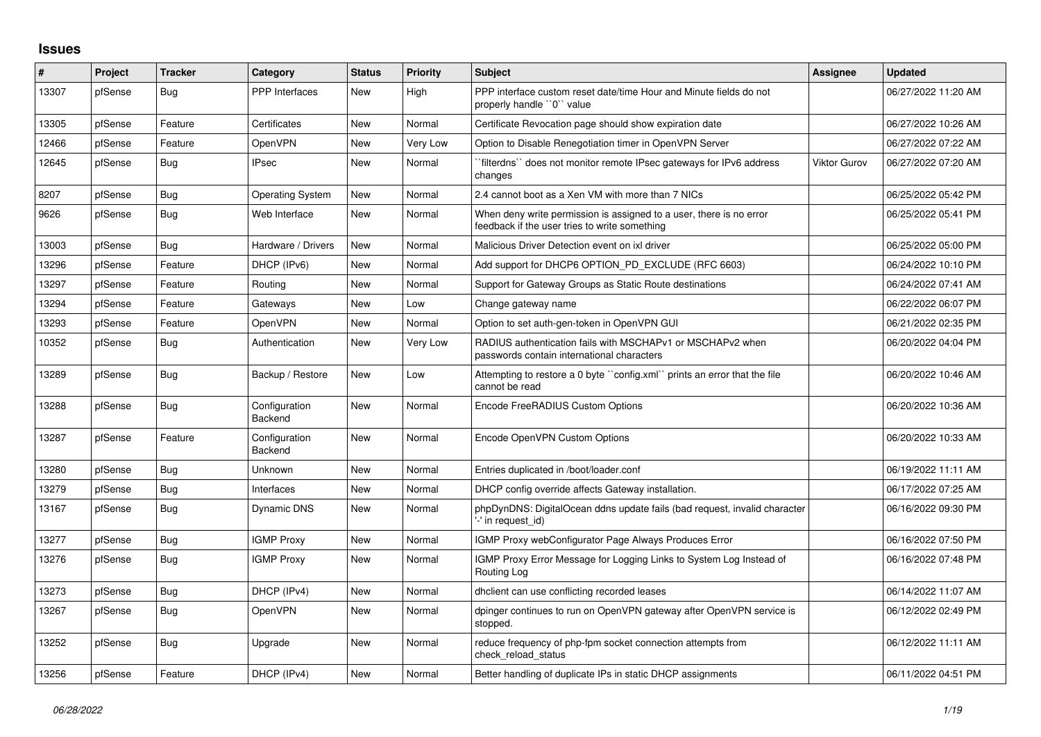## **Issues**

| #     | Project | <b>Tracker</b> | Category                 | <b>Status</b> | <b>Priority</b> | <b>Subject</b>                                                                                                       | Assignee     | <b>Updated</b>      |
|-------|---------|----------------|--------------------------|---------------|-----------------|----------------------------------------------------------------------------------------------------------------------|--------------|---------------------|
| 13307 | pfSense | Bug            | PPP Interfaces           | New           | High            | PPP interface custom reset date/time Hour and Minute fields do not<br>properly handle "0" value                      |              | 06/27/2022 11:20 AM |
| 13305 | pfSense | Feature        | Certificates             | <b>New</b>    | Normal          | Certificate Revocation page should show expiration date                                                              |              | 06/27/2022 10:26 AM |
| 12466 | pfSense | Feature        | OpenVPN                  | <b>New</b>    | Very Low        | Option to Disable Renegotiation timer in OpenVPN Server                                                              |              | 06/27/2022 07:22 AM |
| 12645 | pfSense | Bug            | <b>IPsec</b>             | New           | Normal          | `filterdns`` does not monitor remote IPsec gateways for IPv6 address<br>changes                                      | Viktor Gurov | 06/27/2022 07:20 AM |
| 8207  | pfSense | Bug            | <b>Operating System</b>  | <b>New</b>    | Normal          | 2.4 cannot boot as a Xen VM with more than 7 NICs                                                                    |              | 06/25/2022 05:42 PM |
| 9626  | pfSense | <b>Bug</b>     | Web Interface            | <b>New</b>    | Normal          | When deny write permission is assigned to a user, there is no error<br>feedback if the user tries to write something |              | 06/25/2022 05:41 PM |
| 13003 | pfSense | <b>Bug</b>     | Hardware / Drivers       | <b>New</b>    | Normal          | Malicious Driver Detection event on ixl driver                                                                       |              | 06/25/2022 05:00 PM |
| 13296 | pfSense | Feature        | DHCP (IPv6)              | <b>New</b>    | Normal          | Add support for DHCP6 OPTION PD EXCLUDE (RFC 6603)                                                                   |              | 06/24/2022 10:10 PM |
| 13297 | pfSense | Feature        | Routing                  | <b>New</b>    | Normal          | Support for Gateway Groups as Static Route destinations                                                              |              | 06/24/2022 07:41 AM |
| 13294 | pfSense | Feature        | Gateways                 | <b>New</b>    | Low             | Change gateway name                                                                                                  |              | 06/22/2022 06:07 PM |
| 13293 | pfSense | Feature        | <b>OpenVPN</b>           | New           | Normal          | Option to set auth-gen-token in OpenVPN GUI                                                                          |              | 06/21/2022 02:35 PM |
| 10352 | pfSense | Bug            | Authentication           | New           | Very Low        | RADIUS authentication fails with MSCHAPv1 or MSCHAPv2 when<br>passwords contain international characters             |              | 06/20/2022 04:04 PM |
| 13289 | pfSense | Bug            | Backup / Restore         | New           | Low             | Attempting to restore a 0 byte "config.xml" prints an error that the file<br>cannot be read                          |              | 06/20/2022 10:46 AM |
| 13288 | pfSense | <b>Bug</b>     | Configuration<br>Backend | New           | Normal          | Encode FreeRADIUS Custom Options                                                                                     |              | 06/20/2022 10:36 AM |
| 13287 | pfSense | Feature        | Configuration<br>Backend | New           | Normal          | Encode OpenVPN Custom Options                                                                                        |              | 06/20/2022 10:33 AM |
| 13280 | pfSense | <b>Bug</b>     | Unknown                  | <b>New</b>    | Normal          | Entries duplicated in /boot/loader.conf                                                                              |              | 06/19/2022 11:11 AM |
| 13279 | pfSense | <b>Bug</b>     | Interfaces               | <b>New</b>    | Normal          | DHCP config override affects Gateway installation.                                                                   |              | 06/17/2022 07:25 AM |
| 13167 | pfSense | Bug            | Dynamic DNS              | New           | Normal          | phpDynDNS: DigitalOcean ddns update fails (bad request, invalid character<br>'-' in request id)                      |              | 06/16/2022 09:30 PM |
| 13277 | pfSense | Bug            | <b>IGMP Proxy</b>        | New           | Normal          | IGMP Proxy webConfigurator Page Always Produces Error                                                                |              | 06/16/2022 07:50 PM |
| 13276 | pfSense | <b>Bug</b>     | <b>IGMP Proxy</b>        | New           | Normal          | IGMP Proxy Error Message for Logging Links to System Log Instead of<br>Routing Log                                   |              | 06/16/2022 07:48 PM |
| 13273 | pfSense | Bug            | DHCP (IPv4)              | <b>New</b>    | Normal          | dhclient can use conflicting recorded leases                                                                         |              | 06/14/2022 11:07 AM |
| 13267 | pfSense | <b>Bug</b>     | <b>OpenVPN</b>           | <b>New</b>    | Normal          | dpinger continues to run on OpenVPN gateway after OpenVPN service is<br>stopped.                                     |              | 06/12/2022 02:49 PM |
| 13252 | pfSense | <b>Bug</b>     | Upgrade                  | New           | Normal          | reduce frequency of php-fpm socket connection attempts from<br>check reload status                                   |              | 06/12/2022 11:11 AM |
| 13256 | pfSense | Feature        | DHCP (IPv4)              | <b>New</b>    | Normal          | Better handling of duplicate IPs in static DHCP assignments                                                          |              | 06/11/2022 04:51 PM |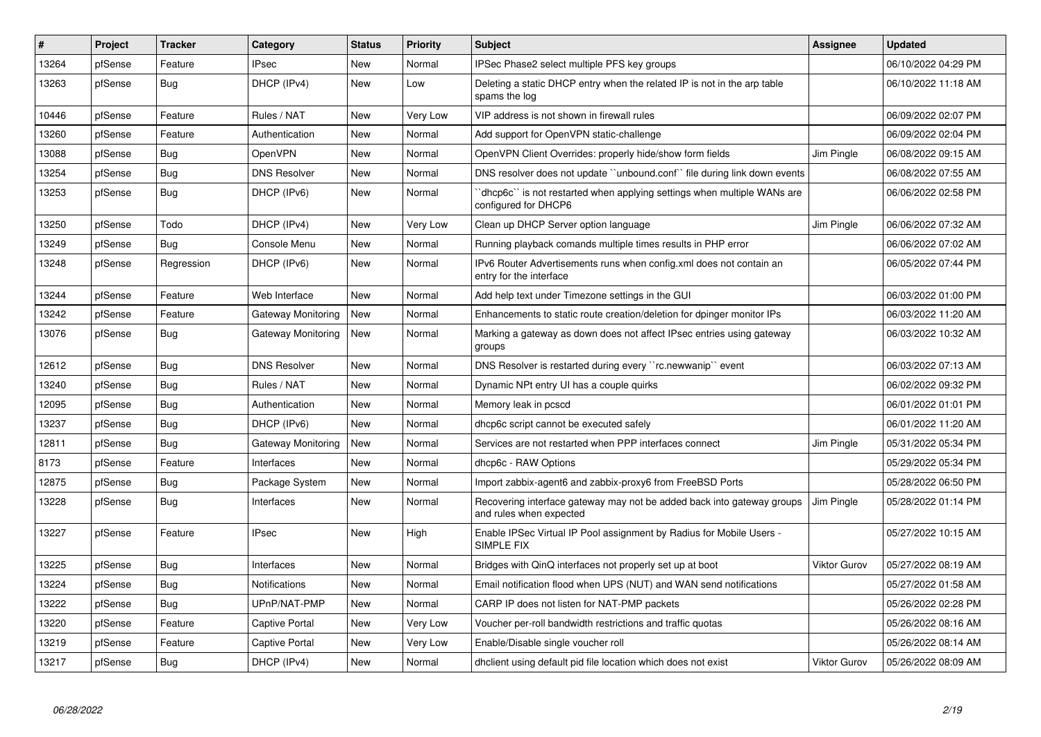| #     | Project | <b>Tracker</b> | Category            | <b>Status</b> | <b>Priority</b> | <b>Subject</b>                                                                                    | <b>Assignee</b>     | <b>Updated</b>      |
|-------|---------|----------------|---------------------|---------------|-----------------|---------------------------------------------------------------------------------------------------|---------------------|---------------------|
| 13264 | pfSense | Feature        | <b>IPsec</b>        | <b>New</b>    | Normal          | IPSec Phase2 select multiple PFS key groups                                                       |                     | 06/10/2022 04:29 PM |
| 13263 | pfSense | Bug            | DHCP (IPv4)         | <b>New</b>    | Low             | Deleting a static DHCP entry when the related IP is not in the arp table<br>spams the log         |                     | 06/10/2022 11:18 AM |
| 10446 | pfSense | Feature        | Rules / NAT         | <b>New</b>    | Very Low        | VIP address is not shown in firewall rules                                                        |                     | 06/09/2022 02:07 PM |
| 13260 | pfSense | Feature        | Authentication      | <b>New</b>    | Normal          | Add support for OpenVPN static-challenge                                                          |                     | 06/09/2022 02:04 PM |
| 13088 | pfSense | <b>Bug</b>     | <b>OpenVPN</b>      | New           | Normal          | OpenVPN Client Overrides: properly hide/show form fields                                          | Jim Pingle          | 06/08/2022 09:15 AM |
| 13254 | pfSense | Bug            | <b>DNS Resolver</b> | New           | Normal          | DNS resolver does not update "unbound.conf" file during link down events                          |                     | 06/08/2022 07:55 AM |
| 13253 | pfSense | <b>Bug</b>     | DHCP (IPv6)         | <b>New</b>    | Normal          | 'dhcp6c'' is not restarted when applying settings when multiple WANs are<br>configured for DHCP6  |                     | 06/06/2022 02:58 PM |
| 13250 | pfSense | Todo           | DHCP (IPv4)         | <b>New</b>    | Very Low        | Clean up DHCP Server option language                                                              | Jim Pingle          | 06/06/2022 07:32 AM |
| 13249 | pfSense | <b>Bug</b>     | Console Menu        | New           | Normal          | Running playback comands multiple times results in PHP error                                      |                     | 06/06/2022 07:02 AM |
| 13248 | pfSense | Regression     | DHCP (IPv6)         | <b>New</b>    | Normal          | IPv6 Router Advertisements runs when config.xml does not contain an<br>entry for the interface    |                     | 06/05/2022 07:44 PM |
| 13244 | pfSense | Feature        | Web Interface       | New           | Normal          | Add help text under Timezone settings in the GUI                                                  |                     | 06/03/2022 01:00 PM |
| 13242 | pfSense | Feature        | Gateway Monitoring  | New           | Normal          | Enhancements to static route creation/deletion for dpinger monitor IPs                            |                     | 06/03/2022 11:20 AM |
| 13076 | pfSense | Bug            | Gateway Monitoring  | New           | Normal          | Marking a gateway as down does not affect IPsec entries using gateway<br>groups                   |                     | 06/03/2022 10:32 AM |
| 12612 | pfSense | Bug            | <b>DNS Resolver</b> | New           | Normal          | DNS Resolver is restarted during every "rc.newwanip" event                                        |                     | 06/03/2022 07:13 AM |
| 13240 | pfSense | <b>Bug</b>     | Rules / NAT         | <b>New</b>    | Normal          | Dynamic NPt entry UI has a couple quirks                                                          |                     | 06/02/2022 09:32 PM |
| 12095 | pfSense | <b>Bug</b>     | Authentication      | <b>New</b>    | Normal          | Memory leak in pcscd                                                                              |                     | 06/01/2022 01:01 PM |
| 13237 | pfSense | Bug            | DHCP (IPv6)         | <b>New</b>    | Normal          | dhcp6c script cannot be executed safely                                                           |                     | 06/01/2022 11:20 AM |
| 12811 | pfSense | <b>Bug</b>     | Gateway Monitoring  | New           | Normal          | Services are not restarted when PPP interfaces connect                                            | Jim Pingle          | 05/31/2022 05:34 PM |
| 8173  | pfSense | Feature        | Interfaces          | New           | Normal          | dhcp6c - RAW Options                                                                              |                     | 05/29/2022 05:34 PM |
| 12875 | pfSense | <b>Bug</b>     | Package System      | <b>New</b>    | Normal          | Import zabbix-agent6 and zabbix-proxy6 from FreeBSD Ports                                         |                     | 05/28/2022 06:50 PM |
| 13228 | pfSense | <b>Bug</b>     | Interfaces          | <b>New</b>    | Normal          | Recovering interface gateway may not be added back into gateway groups<br>and rules when expected | Jim Pingle          | 05/28/2022 01:14 PM |
| 13227 | pfSense | Feature        | <b>IPsec</b>        | <b>New</b>    | High            | Enable IPSec Virtual IP Pool assignment by Radius for Mobile Users -<br>SIMPLE FIX                |                     | 05/27/2022 10:15 AM |
| 13225 | pfSense | <b>Bug</b>     | Interfaces          | <b>New</b>    | Normal          | Bridges with QinQ interfaces not properly set up at boot                                          | <b>Viktor Gurov</b> | 05/27/2022 08:19 AM |
| 13224 | pfSense | Bug            | Notifications       | New           | Normal          | Email notification flood when UPS (NUT) and WAN send notifications                                |                     | 05/27/2022 01:58 AM |
| 13222 | pfSense | <b>Bug</b>     | UPnP/NAT-PMP        | <b>New</b>    | Normal          | CARP IP does not listen for NAT-PMP packets                                                       |                     | 05/26/2022 02:28 PM |
| 13220 | pfSense | Feature        | Captive Portal      | New           | Very Low        | Voucher per-roll bandwidth restrictions and traffic quotas                                        |                     | 05/26/2022 08:16 AM |
| 13219 | pfSense | Feature        | Captive Portal      | New           | Very Low        | Enable/Disable single voucher roll                                                                |                     | 05/26/2022 08:14 AM |
| 13217 | pfSense | Bug            | DHCP (IPv4)         | New           | Normal          | dholient using default pid file location which does not exist                                     | <b>Viktor Gurov</b> | 05/26/2022 08:09 AM |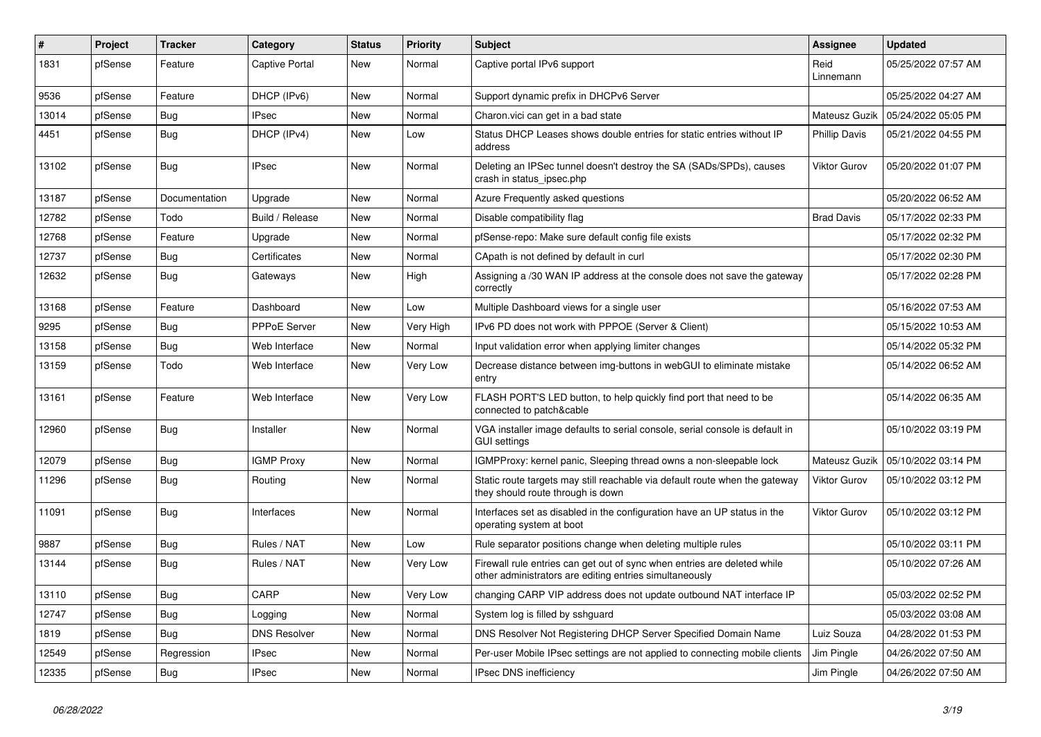| #     | Project | <b>Tracker</b> | Category            | <b>Status</b> | <b>Priority</b> | <b>Subject</b>                                                                                                                      | Assignee             | <b>Updated</b>      |
|-------|---------|----------------|---------------------|---------------|-----------------|-------------------------------------------------------------------------------------------------------------------------------------|----------------------|---------------------|
| 1831  | pfSense | Feature        | Captive Portal      | New           | Normal          | Captive portal IPv6 support                                                                                                         | Reid<br>Linnemann    | 05/25/2022 07:57 AM |
| 9536  | pfSense | Feature        | DHCP (IPv6)         | <b>New</b>    | Normal          | Support dynamic prefix in DHCPv6 Server                                                                                             |                      | 05/25/2022 04:27 AM |
| 13014 | pfSense | <b>Bug</b>     | <b>IPsec</b>        | New           | Normal          | Charon.vici can get in a bad state                                                                                                  | Mateusz Guzik        | 05/24/2022 05:05 PM |
| 4451  | pfSense | <b>Bug</b>     | DHCP (IPv4)         | New           | Low             | Status DHCP Leases shows double entries for static entries without IP<br>address                                                    | <b>Phillip Davis</b> | 05/21/2022 04:55 PM |
| 13102 | pfSense | <b>Bug</b>     | <b>IPsec</b>        | New           | Normal          | Deleting an IPSec tunnel doesn't destroy the SA (SADs/SPDs), causes<br>crash in status_ipsec.php                                    | Viktor Gurov         | 05/20/2022 01:07 PM |
| 13187 | pfSense | Documentation  | Upgrade             | <b>New</b>    | Normal          | Azure Frequently asked questions                                                                                                    |                      | 05/20/2022 06:52 AM |
| 12782 | pfSense | Todo           | Build / Release     | New           | Normal          | Disable compatibility flag                                                                                                          | <b>Brad Davis</b>    | 05/17/2022 02:33 PM |
| 12768 | pfSense | Feature        | Upgrade             | <b>New</b>    | Normal          | pfSense-repo: Make sure default config file exists                                                                                  |                      | 05/17/2022 02:32 PM |
| 12737 | pfSense | <b>Bug</b>     | Certificates        | <b>New</b>    | Normal          | CApath is not defined by default in curl                                                                                            |                      | 05/17/2022 02:30 PM |
| 12632 | pfSense | <b>Bug</b>     | Gateways            | New           | High            | Assigning a /30 WAN IP address at the console does not save the gateway<br>correctly                                                |                      | 05/17/2022 02:28 PM |
| 13168 | pfSense | Feature        | Dashboard           | <b>New</b>    | Low             | Multiple Dashboard views for a single user                                                                                          |                      | 05/16/2022 07:53 AM |
| 9295  | pfSense | Bug            | PPPoE Server        | New           | Very High       | IPv6 PD does not work with PPPOE (Server & Client)                                                                                  |                      | 05/15/2022 10:53 AM |
| 13158 | pfSense | Bug            | Web Interface       | New           | Normal          | Input validation error when applying limiter changes                                                                                |                      | 05/14/2022 05:32 PM |
| 13159 | pfSense | Todo           | Web Interface       | New           | Very Low        | Decrease distance between img-buttons in webGUI to eliminate mistake<br>entry                                                       |                      | 05/14/2022 06:52 AM |
| 13161 | pfSense | Feature        | Web Interface       | New           | Very Low        | FLASH PORT'S LED button, to help quickly find port that need to be<br>connected to patch&cable                                      |                      | 05/14/2022 06:35 AM |
| 12960 | pfSense | Bug            | Installer           | New           | Normal          | VGA installer image defaults to serial console, serial console is default in<br><b>GUI settings</b>                                 |                      | 05/10/2022 03:19 PM |
| 12079 | pfSense | <b>Bug</b>     | <b>IGMP Proxy</b>   | New           | Normal          | IGMPProxy: kernel panic, Sleeping thread owns a non-sleepable lock                                                                  | Mateusz Guzik        | 05/10/2022 03:14 PM |
| 11296 | pfSense | <b>Bug</b>     | Routing             | New           | Normal          | Static route targets may still reachable via default route when the gateway<br>they should route through is down                    | Viktor Gurov         | 05/10/2022 03:12 PM |
| 11091 | pfSense | <b>Bug</b>     | Interfaces          | New           | Normal          | Interfaces set as disabled in the configuration have an UP status in the<br>operating system at boot                                | Viktor Gurov         | 05/10/2022 03:12 PM |
| 9887  | pfSense | <b>Bug</b>     | Rules / NAT         | New           | Low             | Rule separator positions change when deleting multiple rules                                                                        |                      | 05/10/2022 03:11 PM |
| 13144 | pfSense | <b>Bug</b>     | Rules / NAT         | New           | Very Low        | Firewall rule entries can get out of sync when entries are deleted while<br>other administrators are editing entries simultaneously |                      | 05/10/2022 07:26 AM |
| 13110 | pfSense | <b>Bug</b>     | CARP                | New           | Very Low        | changing CARP VIP address does not update outbound NAT interface IP                                                                 |                      | 05/03/2022 02:52 PM |
| 12747 | pfSense | Bug            | Logging             | New           | Normal          | System log is filled by sshguard                                                                                                    |                      | 05/03/2022 03:08 AM |
| 1819  | pfSense | Bug            | <b>DNS Resolver</b> | New           | Normal          | DNS Resolver Not Registering DHCP Server Specified Domain Name                                                                      | Luiz Souza           | 04/28/2022 01:53 PM |
| 12549 | pfSense | Regression     | <b>IPsec</b>        | New           | Normal          | Per-user Mobile IPsec settings are not applied to connecting mobile clients                                                         | Jim Pingle           | 04/26/2022 07:50 AM |
| 12335 | pfSense | <b>Bug</b>     | <b>IPsec</b>        | New           | Normal          | IPsec DNS inefficiency                                                                                                              | Jim Pingle           | 04/26/2022 07:50 AM |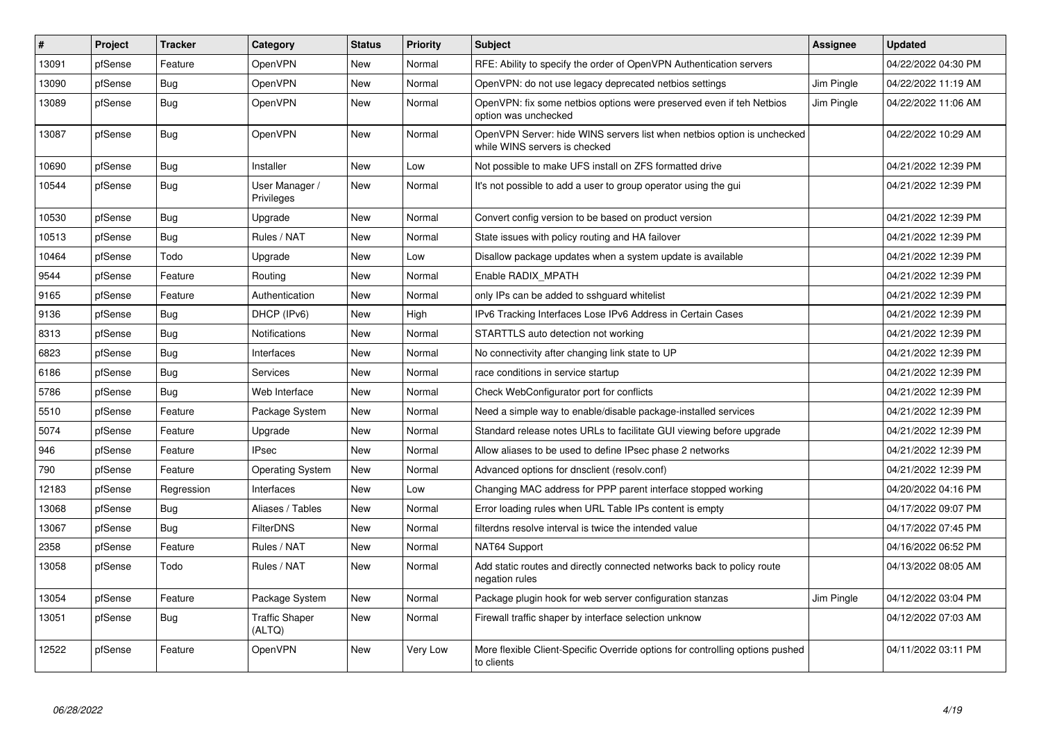| #     | Project | <b>Tracker</b> | Category                        | <b>Status</b> | <b>Priority</b> | <b>Subject</b>                                                                                           | Assignee   | <b>Updated</b>      |
|-------|---------|----------------|---------------------------------|---------------|-----------------|----------------------------------------------------------------------------------------------------------|------------|---------------------|
| 13091 | pfSense | Feature        | <b>OpenVPN</b>                  | <b>New</b>    | Normal          | RFE: Ability to specify the order of OpenVPN Authentication servers                                      |            | 04/22/2022 04:30 PM |
| 13090 | pfSense | <b>Bug</b>     | OpenVPN                         | New           | Normal          | OpenVPN: do not use legacy deprecated netbios settings                                                   | Jim Pingle | 04/22/2022 11:19 AM |
| 13089 | pfSense | <b>Bug</b>     | OpenVPN                         | New           | Normal          | OpenVPN: fix some netbios options were preserved even if teh Netbios<br>option was unchecked             | Jim Pingle | 04/22/2022 11:06 AM |
| 13087 | pfSense | <b>Bug</b>     | OpenVPN                         | New           | Normal          | OpenVPN Server: hide WINS servers list when netbios option is unchecked<br>while WINS servers is checked |            | 04/22/2022 10:29 AM |
| 10690 | pfSense | <b>Bug</b>     | Installer                       | <b>New</b>    | Low             | Not possible to make UFS install on ZFS formatted drive                                                  |            | 04/21/2022 12:39 PM |
| 10544 | pfSense | <b>Bug</b>     | User Manager /<br>Privileges    | New           | Normal          | It's not possible to add a user to group operator using the gui                                          |            | 04/21/2022 12:39 PM |
| 10530 | pfSense | Bug            | Upgrade                         | New           | Normal          | Convert config version to be based on product version                                                    |            | 04/21/2022 12:39 PM |
| 10513 | pfSense | <b>Bug</b>     | Rules / NAT                     | <b>New</b>    | Normal          | State issues with policy routing and HA failover                                                         |            | 04/21/2022 12:39 PM |
| 10464 | pfSense | Todo           | Upgrade                         | New           | Low             | Disallow package updates when a system update is available                                               |            | 04/21/2022 12:39 PM |
| 9544  | pfSense | Feature        | Routing                         | <b>New</b>    | Normal          | Enable RADIX MPATH                                                                                       |            | 04/21/2022 12:39 PM |
| 9165  | pfSense | Feature        | Authentication                  | New           | Normal          | only IPs can be added to sshguard whitelist                                                              |            | 04/21/2022 12:39 PM |
| 9136  | pfSense | <b>Bug</b>     | DHCP (IPv6)                     | <b>New</b>    | High            | IPv6 Tracking Interfaces Lose IPv6 Address in Certain Cases                                              |            | 04/21/2022 12:39 PM |
| 8313  | pfSense | Bug            | Notifications                   | New           | Normal          | STARTTLS auto detection not working                                                                      |            | 04/21/2022 12:39 PM |
| 6823  | pfSense | <b>Bug</b>     | Interfaces                      | New           | Normal          | No connectivity after changing link state to UP                                                          |            | 04/21/2022 12:39 PM |
| 6186  | pfSense | Bug            | <b>Services</b>                 | New           | Normal          | race conditions in service startup                                                                       |            | 04/21/2022 12:39 PM |
| 5786  | pfSense | <b>Bug</b>     | Web Interface                   | <b>New</b>    | Normal          | Check WebConfigurator port for conflicts                                                                 |            | 04/21/2022 12:39 PM |
| 5510  | pfSense | Feature        | Package System                  | New           | Normal          | Need a simple way to enable/disable package-installed services                                           |            | 04/21/2022 12:39 PM |
| 5074  | pfSense | Feature        | Upgrade                         | <b>New</b>    | Normal          | Standard release notes URLs to facilitate GUI viewing before upgrade                                     |            | 04/21/2022 12:39 PM |
| 946   | pfSense | Feature        | <b>IPsec</b>                    | New           | Normal          | Allow aliases to be used to define IPsec phase 2 networks                                                |            | 04/21/2022 12:39 PM |
| 790   | pfSense | Feature        | Operating System                | <b>New</b>    | Normal          | Advanced options for dnsclient (resolv.conf)                                                             |            | 04/21/2022 12:39 PM |
| 12183 | pfSense | Regression     | Interfaces                      | <b>New</b>    | Low             | Changing MAC address for PPP parent interface stopped working                                            |            | 04/20/2022 04:16 PM |
| 13068 | pfSense | <b>Bug</b>     | Aliases / Tables                | New           | Normal          | Error loading rules when URL Table IPs content is empty                                                  |            | 04/17/2022 09:07 PM |
| 13067 | pfSense | <b>Bug</b>     | <b>FilterDNS</b>                | <b>New</b>    | Normal          | filterdns resolve interval is twice the intended value                                                   |            | 04/17/2022 07:45 PM |
| 2358  | pfSense | Feature        | Rules / NAT                     | New           | Normal          | NAT64 Support                                                                                            |            | 04/16/2022 06:52 PM |
| 13058 | pfSense | Todo           | Rules / NAT                     | New           | Normal          | Add static routes and directly connected networks back to policy route<br>negation rules                 |            | 04/13/2022 08:05 AM |
| 13054 | pfSense | Feature        | Package System                  | New           | Normal          | Package plugin hook for web server configuration stanzas                                                 | Jim Pingle | 04/12/2022 03:04 PM |
| 13051 | pfSense | Bug            | <b>Traffic Shaper</b><br>(ALTQ) | New           | Normal          | Firewall traffic shaper by interface selection unknow                                                    |            | 04/12/2022 07:03 AM |
| 12522 | pfSense | Feature        | OpenVPN                         | <b>New</b>    | Very Low        | More flexible Client-Specific Override options for controlling options pushed<br>to clients              |            | 04/11/2022 03:11 PM |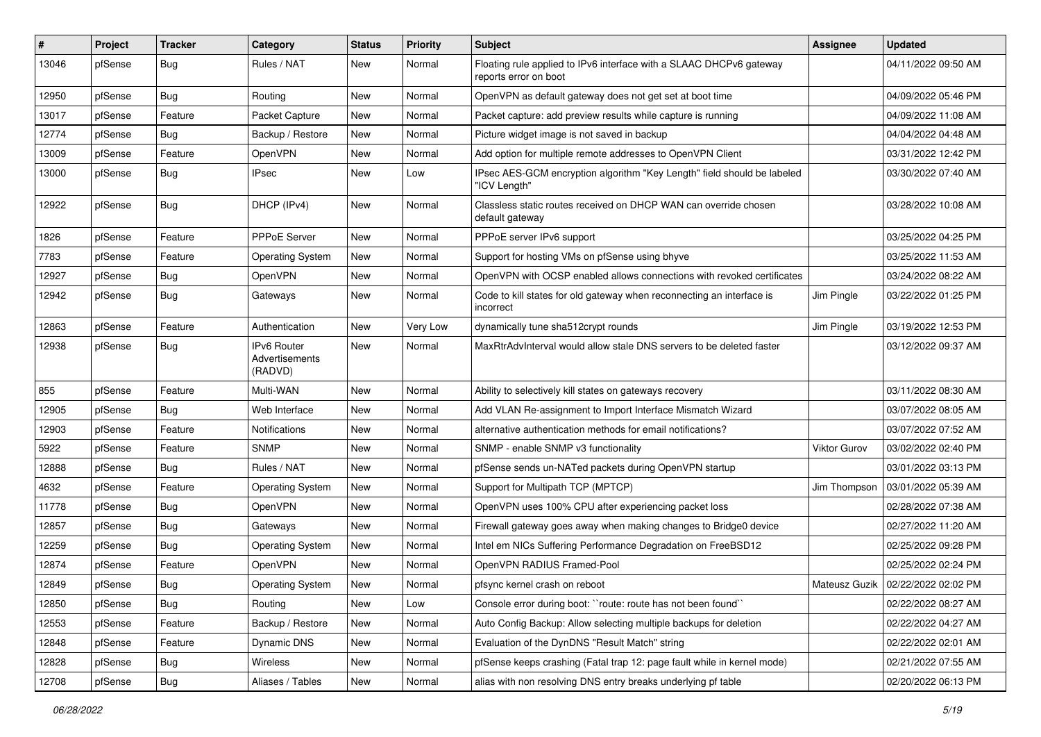| #     | Project | <b>Tracker</b> | Category                                 | <b>Status</b> | <b>Priority</b> | <b>Subject</b>                                                                               | Assignee     | <b>Updated</b>                      |
|-------|---------|----------------|------------------------------------------|---------------|-----------------|----------------------------------------------------------------------------------------------|--------------|-------------------------------------|
| 13046 | pfSense | <b>Bug</b>     | Rules / NAT                              | <b>New</b>    | Normal          | Floating rule applied to IPv6 interface with a SLAAC DHCPv6 gateway<br>reports error on boot |              | 04/11/2022 09:50 AM                 |
| 12950 | pfSense | <b>Bug</b>     | Routing                                  | <b>New</b>    | Normal          | OpenVPN as default gateway does not get set at boot time                                     |              | 04/09/2022 05:46 PM                 |
| 13017 | pfSense | Feature        | Packet Capture                           | New           | Normal          | Packet capture: add preview results while capture is running                                 |              | 04/09/2022 11:08 AM                 |
| 12774 | pfSense | <b>Bug</b>     | Backup / Restore                         | <b>New</b>    | Normal          | Picture widget image is not saved in backup                                                  |              | 04/04/2022 04:48 AM                 |
| 13009 | pfSense | Feature        | <b>OpenVPN</b>                           | New           | Normal          | Add option for multiple remote addresses to OpenVPN Client                                   |              | 03/31/2022 12:42 PM                 |
| 13000 | pfSense | <b>Bug</b>     | <b>IPsec</b>                             | New           | Low             | IPsec AES-GCM encryption algorithm "Key Length" field should be labeled<br>"ICV Lenath"      |              | 03/30/2022 07:40 AM                 |
| 12922 | pfSense | Bug            | DHCP (IPv4)                              | <b>New</b>    | Normal          | Classless static routes received on DHCP WAN can override chosen<br>default gateway          |              | 03/28/2022 10:08 AM                 |
| 1826  | pfSense | Feature        | <b>PPPoE Server</b>                      | <b>New</b>    | Normal          | PPPoE server IPv6 support                                                                    |              | 03/25/2022 04:25 PM                 |
| 7783  | pfSense | Feature        | <b>Operating System</b>                  | New           | Normal          | Support for hosting VMs on pfSense using bhyve                                               |              | 03/25/2022 11:53 AM                 |
| 12927 | pfSense | <b>Bug</b>     | OpenVPN                                  | <b>New</b>    | Normal          | OpenVPN with OCSP enabled allows connections with revoked certificates                       |              | 03/24/2022 08:22 AM                 |
| 12942 | pfSense | <b>Bug</b>     | Gateways                                 | New           | Normal          | Code to kill states for old gateway when reconnecting an interface is<br>incorrect           | Jim Pingle   | 03/22/2022 01:25 PM                 |
| 12863 | pfSense | Feature        | Authentication                           | New           | Very Low        | dynamically tune sha512crypt rounds                                                          | Jim Pingle   | 03/19/2022 12:53 PM                 |
| 12938 | pfSense | <b>Bug</b>     | IPv6 Router<br>Advertisements<br>(RADVD) | <b>New</b>    | Normal          | MaxRtrAdvInterval would allow stale DNS servers to be deleted faster                         |              | 03/12/2022 09:37 AM                 |
| 855   | pfSense | Feature        | Multi-WAN                                | <b>New</b>    | Normal          | Ability to selectively kill states on gateways recovery                                      |              | 03/11/2022 08:30 AM                 |
| 12905 | pfSense | <b>Bug</b>     | Web Interface                            | <b>New</b>    | Normal          | Add VLAN Re-assignment to Import Interface Mismatch Wizard                                   |              | 03/07/2022 08:05 AM                 |
| 12903 | pfSense | Feature        | Notifications                            | <b>New</b>    | Normal          | alternative authentication methods for email notifications?                                  |              | 03/07/2022 07:52 AM                 |
| 5922  | pfSense | Feature        | <b>SNMP</b>                              | New           | Normal          | SNMP - enable SNMP v3 functionality                                                          | Viktor Gurov | 03/02/2022 02:40 PM                 |
| 12888 | pfSense | <b>Bug</b>     | Rules / NAT                              | New           | Normal          | pfSense sends un-NATed packets during OpenVPN startup                                        |              | 03/01/2022 03:13 PM                 |
| 4632  | pfSense | Feature        | <b>Operating System</b>                  | New           | Normal          | Support for Multipath TCP (MPTCP)                                                            | Jim Thompson | 03/01/2022 05:39 AM                 |
| 11778 | pfSense | <b>Bug</b>     | OpenVPN                                  | <b>New</b>    | Normal          | OpenVPN uses 100% CPU after experiencing packet loss                                         |              | 02/28/2022 07:38 AM                 |
| 12857 | pfSense | <b>Bug</b>     | Gateways                                 | New           | Normal          | Firewall gateway goes away when making changes to Bridge0 device                             |              | 02/27/2022 11:20 AM                 |
| 12259 | pfSense | <b>Bug</b>     | <b>Operating System</b>                  | New           | Normal          | Intel em NICs Suffering Performance Degradation on FreeBSD12                                 |              | 02/25/2022 09:28 PM                 |
| 12874 | pfSense | Feature        | OpenVPN                                  | <b>New</b>    | Normal          | OpenVPN RADIUS Framed-Pool                                                                   |              | 02/25/2022 02:24 PM                 |
| 12849 | pfSense | <b>Bug</b>     | <b>Operating System</b>                  | <b>New</b>    | Normal          | pfsync kernel crash on reboot                                                                |              | Mateusz Guzik   02/22/2022 02:02 PM |
| 12850 | pfSense | Bug            | Routing                                  | <b>New</b>    | Low             | Console error during boot: "route: route has not been found"                                 |              | 02/22/2022 08:27 AM                 |
| 12553 | pfSense | Feature        | Backup / Restore                         | New           | Normal          | Auto Config Backup: Allow selecting multiple backups for deletion                            |              | 02/22/2022 04:27 AM                 |
| 12848 | pfSense | Feature        | Dynamic DNS                              | New           | Normal          | Evaluation of the DynDNS "Result Match" string                                               |              | 02/22/2022 02:01 AM                 |
| 12828 | pfSense | Bug            | Wireless                                 | New           | Normal          | pfSense keeps crashing (Fatal trap 12: page fault while in kernel mode)                      |              | 02/21/2022 07:55 AM                 |
| 12708 | pfSense | Bug            | Aliases / Tables                         | New           | Normal          | alias with non resolving DNS entry breaks underlying pf table                                |              | 02/20/2022 06:13 PM                 |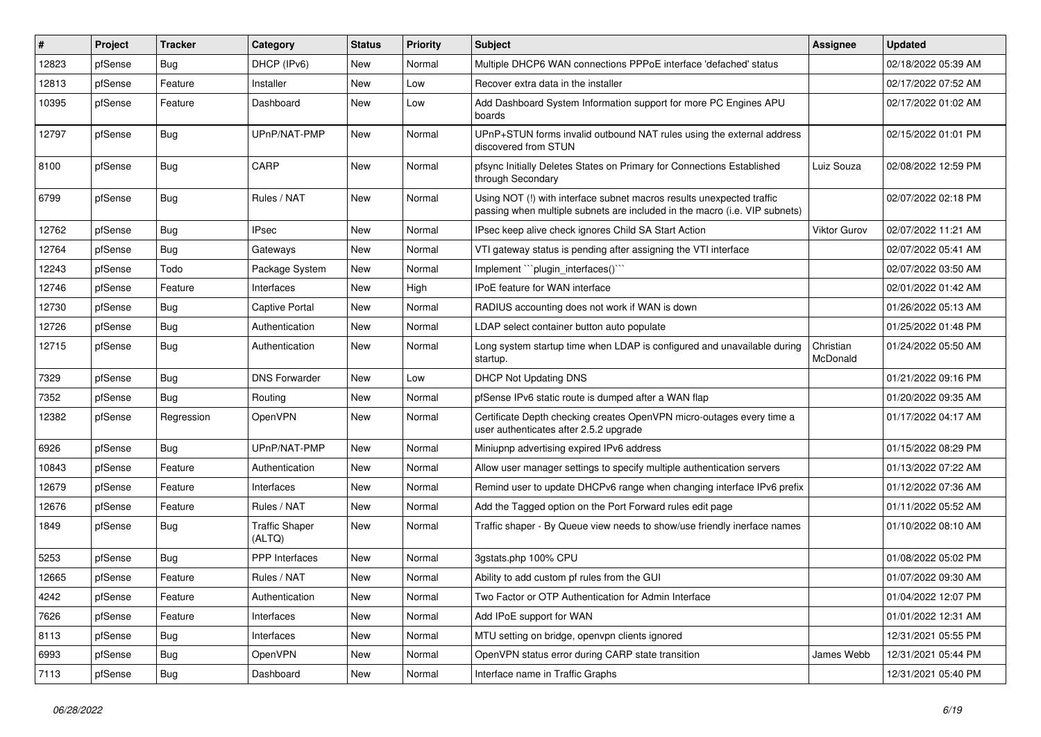| #     | Project | <b>Tracker</b> | Category                        | <b>Status</b> | <b>Priority</b> | <b>Subject</b>                                                                                                                                      | Assignee              | <b>Updated</b>      |
|-------|---------|----------------|---------------------------------|---------------|-----------------|-----------------------------------------------------------------------------------------------------------------------------------------------------|-----------------------|---------------------|
| 12823 | pfSense | Bug            | DHCP (IPv6)                     | New           | Normal          | Multiple DHCP6 WAN connections PPPoE interface 'defached' status                                                                                    |                       | 02/18/2022 05:39 AM |
| 12813 | pfSense | Feature        | Installer                       | <b>New</b>    | Low             | Recover extra data in the installer                                                                                                                 |                       | 02/17/2022 07:52 AM |
| 10395 | pfSense | Feature        | Dashboard                       | New           | Low             | Add Dashboard System Information support for more PC Engines APU<br>boards                                                                          |                       | 02/17/2022 01:02 AM |
| 12797 | pfSense | <b>Bug</b>     | UPnP/NAT-PMP                    | <b>New</b>    | Normal          | UPnP+STUN forms invalid outbound NAT rules using the external address<br>discovered from STUN                                                       |                       | 02/15/2022 01:01 PM |
| 8100  | pfSense | <b>Bug</b>     | CARP                            | New           | Normal          | pfsync Initially Deletes States on Primary for Connections Established<br>through Secondary                                                         | Luiz Souza            | 02/08/2022 12:59 PM |
| 6799  | pfSense | <b>Bug</b>     | Rules / NAT                     | <b>New</b>    | Normal          | Using NOT (!) with interface subnet macros results unexpected traffic<br>passing when multiple subnets are included in the macro (i.e. VIP subnets) |                       | 02/07/2022 02:18 PM |
| 12762 | pfSense | Bug            | <b>IPsec</b>                    | New           | Normal          | IPsec keep alive check ignores Child SA Start Action                                                                                                | Viktor Gurov          | 02/07/2022 11:21 AM |
| 12764 | pfSense | <b>Bug</b>     | Gateways                        | New           | Normal          | VTI gateway status is pending after assigning the VTI interface                                                                                     |                       | 02/07/2022 05:41 AM |
| 12243 | pfSense | Todo           | Package System                  | New           | Normal          | Implement "`plugin_interfaces()`"                                                                                                                   |                       | 02/07/2022 03:50 AM |
| 12746 | pfSense | Feature        | Interfaces                      | New           | High            | <b>IPoE</b> feature for WAN interface                                                                                                               |                       | 02/01/2022 01:42 AM |
| 12730 | pfSense | Bug            | Captive Portal                  | New           | Normal          | RADIUS accounting does not work if WAN is down                                                                                                      |                       | 01/26/2022 05:13 AM |
| 12726 | pfSense | <b>Bug</b>     | Authentication                  | <b>New</b>    | Normal          | LDAP select container button auto populate                                                                                                          |                       | 01/25/2022 01:48 PM |
| 12715 | pfSense | <b>Bug</b>     | Authentication                  | New           | Normal          | Long system startup time when LDAP is configured and unavailable during<br>startup.                                                                 | Christian<br>McDonald | 01/24/2022 05:50 AM |
| 7329  | pfSense | Bug            | <b>DNS Forwarder</b>            | New           | Low             | <b>DHCP Not Updating DNS</b>                                                                                                                        |                       | 01/21/2022 09:16 PM |
| 7352  | pfSense | Bug            | Routing                         | <b>New</b>    | Normal          | pfSense IPv6 static route is dumped after a WAN flap                                                                                                |                       | 01/20/2022 09:35 AM |
| 12382 | pfSense | Regression     | OpenVPN                         | <b>New</b>    | Normal          | Certificate Depth checking creates OpenVPN micro-outages every time a<br>user authenticates after 2.5.2 upgrade                                     |                       | 01/17/2022 04:17 AM |
| 6926  | pfSense | Bug            | UPnP/NAT-PMP                    | New           | Normal          | Miniupnp advertising expired IPv6 address                                                                                                           |                       | 01/15/2022 08:29 PM |
| 10843 | pfSense | Feature        | Authentication                  | <b>New</b>    | Normal          | Allow user manager settings to specify multiple authentication servers                                                                              |                       | 01/13/2022 07:22 AM |
| 12679 | pfSense | Feature        | Interfaces                      | New           | Normal          | Remind user to update DHCPv6 range when changing interface IPv6 prefix                                                                              |                       | 01/12/2022 07:36 AM |
| 12676 | pfSense | Feature        | Rules / NAT                     | <b>New</b>    | Normal          | Add the Tagged option on the Port Forward rules edit page                                                                                           |                       | 01/11/2022 05:52 AM |
| 1849  | pfSense | <b>Bug</b>     | <b>Traffic Shaper</b><br>(ALTQ) | New           | Normal          | Traffic shaper - By Queue view needs to show/use friendly inerface names                                                                            |                       | 01/10/2022 08:10 AM |
| 5253  | pfSense | Bug            | PPP Interfaces                  | <b>New</b>    | Normal          | 3gstats.php 100% CPU                                                                                                                                |                       | 01/08/2022 05:02 PM |
| 12665 | pfSense | Feature        | Rules / NAT                     | <b>New</b>    | Normal          | Ability to add custom pf rules from the GUI                                                                                                         |                       | 01/07/2022 09:30 AM |
| 4242  | pfSense | Feature        | Authentication                  | New           | Normal          | Two Factor or OTP Authentication for Admin Interface                                                                                                |                       | 01/04/2022 12:07 PM |
| 7626  | pfSense | Feature        | Interfaces                      | <b>New</b>    | Normal          | Add IPoE support for WAN                                                                                                                            |                       | 01/01/2022 12:31 AM |
| 8113  | pfSense | <b>Bug</b>     | Interfaces                      | New           | Normal          | MTU setting on bridge, openvpn clients ignored                                                                                                      |                       | 12/31/2021 05:55 PM |
| 6993  | pfSense | Bug            | OpenVPN                         | New           | Normal          | OpenVPN status error during CARP state transition                                                                                                   | James Webb            | 12/31/2021 05:44 PM |
| 7113  | pfSense | <b>Bug</b>     | Dashboard                       | New           | Normal          | Interface name in Traffic Graphs                                                                                                                    |                       | 12/31/2021 05:40 PM |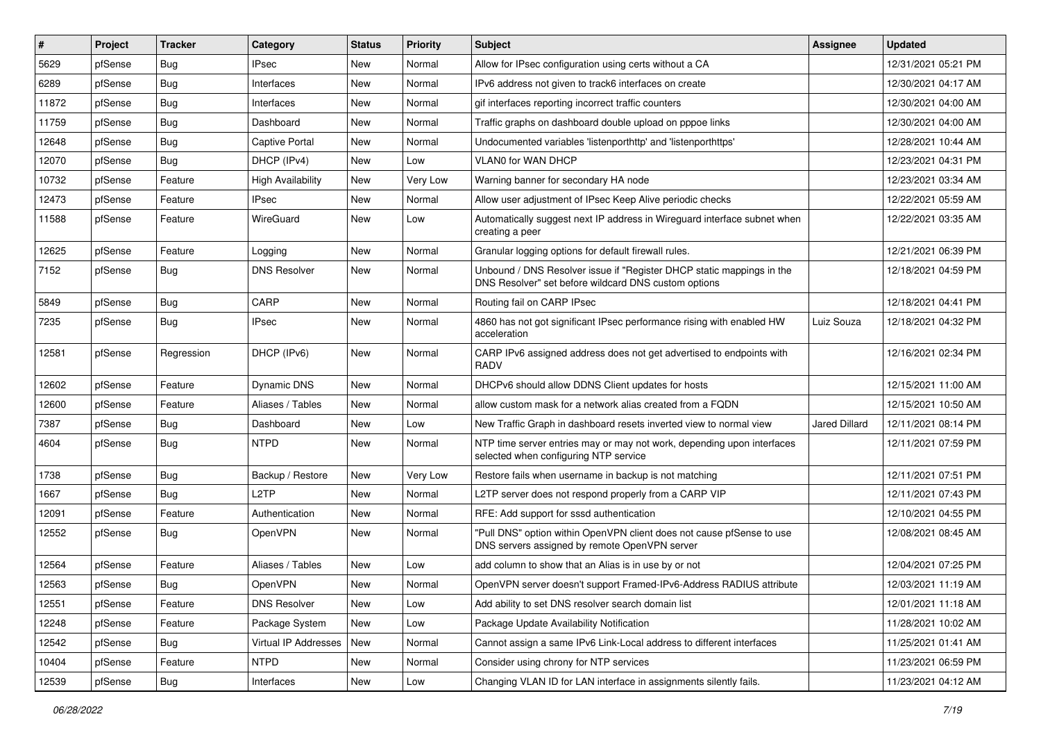| #     | Project | <b>Tracker</b> | Category                 | <b>Status</b> | <b>Priority</b> | <b>Subject</b>                                                                                                                | <b>Assignee</b>      | <b>Updated</b>      |
|-------|---------|----------------|--------------------------|---------------|-----------------|-------------------------------------------------------------------------------------------------------------------------------|----------------------|---------------------|
| 5629  | pfSense | <b>Bug</b>     | <b>IPsec</b>             | New           | Normal          | Allow for IPsec configuration using certs without a CA                                                                        |                      | 12/31/2021 05:21 PM |
| 6289  | pfSense | <b>Bug</b>     | Interfaces               | <b>New</b>    | Normal          | IPv6 address not given to track6 interfaces on create                                                                         |                      | 12/30/2021 04:17 AM |
| 11872 | pfSense | <b>Bug</b>     | Interfaces               | New           | Normal          | gif interfaces reporting incorrect traffic counters                                                                           |                      | 12/30/2021 04:00 AM |
| 11759 | pfSense | <b>Bug</b>     | Dashboard                | <b>New</b>    | Normal          | Traffic graphs on dashboard double upload on pppoe links                                                                      |                      | 12/30/2021 04:00 AM |
| 12648 | pfSense | <b>Bug</b>     | Captive Portal           | <b>New</b>    | Normal          | Undocumented variables 'listenporthttp' and 'listenporthttps'                                                                 |                      | 12/28/2021 10:44 AM |
| 12070 | pfSense | <b>Bug</b>     | DHCP (IPv4)              | <b>New</b>    | Low             | <b>VLAN0 for WAN DHCP</b>                                                                                                     |                      | 12/23/2021 04:31 PM |
| 10732 | pfSense | Feature        | <b>High Availability</b> | New           | Very Low        | Warning banner for secondary HA node                                                                                          |                      | 12/23/2021 03:34 AM |
| 12473 | pfSense | Feature        | <b>IPsec</b>             | <b>New</b>    | Normal          | Allow user adjustment of IPsec Keep Alive periodic checks                                                                     |                      | 12/22/2021 05:59 AM |
| 11588 | pfSense | Feature        | WireGuard                | New           | Low             | Automatically suggest next IP address in Wireguard interface subnet when<br>creating a peer                                   |                      | 12/22/2021 03:35 AM |
| 12625 | pfSense | Feature        | Logging                  | New           | Normal          | Granular logging options for default firewall rules.                                                                          |                      | 12/21/2021 06:39 PM |
| 7152  | pfSense | <b>Bug</b>     | <b>DNS Resolver</b>      | <b>New</b>    | Normal          | Unbound / DNS Resolver issue if "Register DHCP static mappings in the<br>DNS Resolver" set before wildcard DNS custom options |                      | 12/18/2021 04:59 PM |
| 5849  | pfSense | <b>Bug</b>     | CARP                     | <b>New</b>    | Normal          | Routing fail on CARP IPsec                                                                                                    |                      | 12/18/2021 04:41 PM |
| 7235  | pfSense | <b>Bug</b>     | <b>IPsec</b>             | New           | Normal          | 4860 has not got significant IPsec performance rising with enabled HW<br>acceleration                                         | Luiz Souza           | 12/18/2021 04:32 PM |
| 12581 | pfSense | Regression     | DHCP (IPv6)              | <b>New</b>    | Normal          | CARP IPv6 assigned address does not get advertised to endpoints with<br><b>RADV</b>                                           |                      | 12/16/2021 02:34 PM |
| 12602 | pfSense | Feature        | Dynamic DNS              | New           | Normal          | DHCPv6 should allow DDNS Client updates for hosts                                                                             |                      | 12/15/2021 11:00 AM |
| 12600 | pfSense | Feature        | Aliases / Tables         | <b>New</b>    | Normal          | allow custom mask for a network alias created from a FQDN                                                                     |                      | 12/15/2021 10:50 AM |
| 7387  | pfSense | <b>Bug</b>     | Dashboard                | <b>New</b>    | Low             | New Traffic Graph in dashboard resets inverted view to normal view                                                            | <b>Jared Dillard</b> | 12/11/2021 08:14 PM |
| 4604  | pfSense | <b>Bug</b>     | <b>NTPD</b>              | <b>New</b>    | Normal          | NTP time server entries may or may not work, depending upon interfaces<br>selected when configuring NTP service               |                      | 12/11/2021 07:59 PM |
| 1738  | pfSense | <b>Bug</b>     | Backup / Restore         | <b>New</b>    | Very Low        | Restore fails when username in backup is not matching                                                                         |                      | 12/11/2021 07:51 PM |
| 1667  | pfSense | <b>Bug</b>     | L <sub>2</sub> TP        | New           | Normal          | L2TP server does not respond properly from a CARP VIP                                                                         |                      | 12/11/2021 07:43 PM |
| 12091 | pfSense | Feature        | Authentication           | <b>New</b>    | Normal          | RFE: Add support for sssd authentication                                                                                      |                      | 12/10/2021 04:55 PM |
| 12552 | pfSense | <b>Bug</b>     | OpenVPN                  | New           | Normal          | "Pull DNS" option within OpenVPN client does not cause pfSense to use<br>DNS servers assigned by remote OpenVPN server        |                      | 12/08/2021 08:45 AM |
| 12564 | pfSense | Feature        | Aliases / Tables         | <b>New</b>    | Low             | add column to show that an Alias is in use by or not                                                                          |                      | 12/04/2021 07:25 PM |
| 12563 | pfSense | Bug            | <b>OpenVPN</b>           | New           | Normal          | OpenVPN server doesn't support Framed-IPv6-Address RADIUS attribute                                                           |                      | 12/03/2021 11:19 AM |
| 12551 | pfSense | Feature        | <b>DNS Resolver</b>      | New           | Low             | Add ability to set DNS resolver search domain list                                                                            |                      | 12/01/2021 11:18 AM |
| 12248 | pfSense | Feature        | Package System           | New           | Low             | Package Update Availability Notification                                                                                      |                      | 11/28/2021 10:02 AM |
| 12542 | pfSense | <b>Bug</b>     | Virtual IP Addresses     | New           | Normal          | Cannot assign a same IPv6 Link-Local address to different interfaces                                                          |                      | 11/25/2021 01:41 AM |
| 10404 | pfSense | Feature        | <b>NTPD</b>              | <b>New</b>    | Normal          | Consider using chrony for NTP services                                                                                        |                      | 11/23/2021 06:59 PM |
| 12539 | pfSense | Bug            | Interfaces               | New           | Low             | Changing VLAN ID for LAN interface in assignments silently fails.                                                             |                      | 11/23/2021 04:12 AM |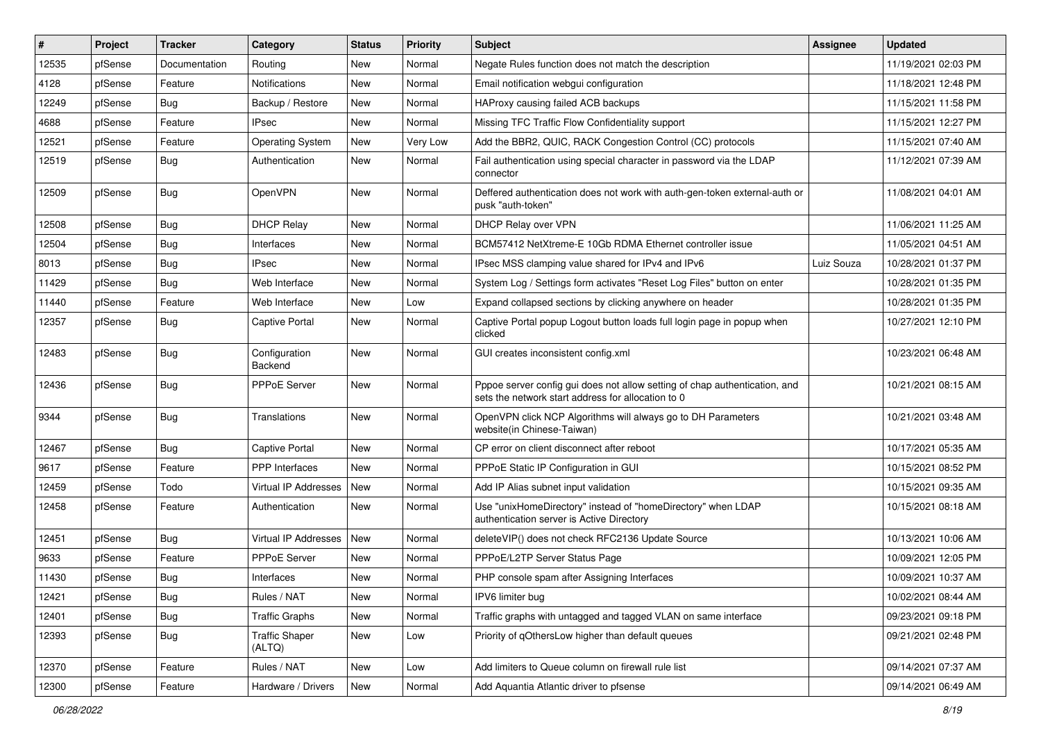| #     | Project | <b>Tracker</b> | Category                        | <b>Status</b> | <b>Priority</b> | Subject                                                                                                                          | <b>Assignee</b> | <b>Updated</b>      |
|-------|---------|----------------|---------------------------------|---------------|-----------------|----------------------------------------------------------------------------------------------------------------------------------|-----------------|---------------------|
| 12535 | pfSense | Documentation  | Routing                         | New           | Normal          | Negate Rules function does not match the description                                                                             |                 | 11/19/2021 02:03 PM |
| 4128  | pfSense | Feature        | Notifications                   | New           | Normal          | Email notification webgui configuration                                                                                          |                 | 11/18/2021 12:48 PM |
| 12249 | pfSense | <b>Bug</b>     | Backup / Restore                | New           | Normal          | HAProxy causing failed ACB backups                                                                                               |                 | 11/15/2021 11:58 PM |
| 4688  | pfSense | Feature        | <b>IPsec</b>                    | New           | Normal          | Missing TFC Traffic Flow Confidentiality support                                                                                 |                 | 11/15/2021 12:27 PM |
| 12521 | pfSense | Feature        | <b>Operating System</b>         | <b>New</b>    | Very Low        | Add the BBR2, QUIC, RACK Congestion Control (CC) protocols                                                                       |                 | 11/15/2021 07:40 AM |
| 12519 | pfSense | <b>Bug</b>     | Authentication                  | New           | Normal          | Fail authentication using special character in password via the LDAP<br>connector                                                |                 | 11/12/2021 07:39 AM |
| 12509 | pfSense | <b>Bug</b>     | OpenVPN                         | New           | Normal          | Deffered authentication does not work with auth-gen-token external-auth or<br>pusk "auth-token"                                  |                 | 11/08/2021 04:01 AM |
| 12508 | pfSense | <b>Bug</b>     | <b>DHCP Relay</b>               | New           | Normal          | DHCP Relay over VPN                                                                                                              |                 | 11/06/2021 11:25 AM |
| 12504 | pfSense | <b>Bug</b>     | Interfaces                      | <b>New</b>    | Normal          | BCM57412 NetXtreme-E 10Gb RDMA Ethernet controller issue                                                                         |                 | 11/05/2021 04:51 AM |
| 8013  | pfSense | <b>Bug</b>     | <b>IPsec</b>                    | New           | Normal          | IPsec MSS clamping value shared for IPv4 and IPv6                                                                                | Luiz Souza      | 10/28/2021 01:37 PM |
| 11429 | pfSense | <b>Bug</b>     | Web Interface                   | New           | Normal          | System Log / Settings form activates "Reset Log Files" button on enter                                                           |                 | 10/28/2021 01:35 PM |
| 11440 | pfSense | Feature        | Web Interface                   | New           | Low             | Expand collapsed sections by clicking anywhere on header                                                                         |                 | 10/28/2021 01:35 PM |
| 12357 | pfSense | <b>Bug</b>     | Captive Portal                  | New           | Normal          | Captive Portal popup Logout button loads full login page in popup when<br>clicked                                                |                 | 10/27/2021 12:10 PM |
| 12483 | pfSense | <b>Bug</b>     | Configuration<br>Backend        | New           | Normal          | GUI creates inconsistent config.xml                                                                                              |                 | 10/23/2021 06:48 AM |
| 12436 | pfSense | <b>Bug</b>     | <b>PPPoE Server</b>             | <b>New</b>    | Normal          | Pppoe server config gui does not allow setting of chap authentication, and<br>sets the network start address for allocation to 0 |                 | 10/21/2021 08:15 AM |
| 9344  | pfSense | <b>Bug</b>     | Translations                    | <b>New</b>    | Normal          | OpenVPN click NCP Algorithms will always go to DH Parameters<br>website(in Chinese-Taiwan)                                       |                 | 10/21/2021 03:48 AM |
| 12467 | pfSense | <b>Bug</b>     | Captive Portal                  | <b>New</b>    | Normal          | CP error on client disconnect after reboot                                                                                       |                 | 10/17/2021 05:35 AM |
| 9617  | pfSense | Feature        | PPP Interfaces                  | <b>New</b>    | Normal          | PPPoE Static IP Configuration in GUI                                                                                             |                 | 10/15/2021 08:52 PM |
| 12459 | pfSense | Todo           | Virtual IP Addresses            | New           | Normal          | Add IP Alias subnet input validation                                                                                             |                 | 10/15/2021 09:35 AM |
| 12458 | pfSense | Feature        | Authentication                  | New           | Normal          | Use "unixHomeDirectory" instead of "homeDirectory" when LDAP<br>authentication server is Active Directory                        |                 | 10/15/2021 08:18 AM |
| 12451 | pfSense | Bug            | <b>Virtual IP Addresses</b>     | New           | Normal          | deleteVIP() does not check RFC2136 Update Source                                                                                 |                 | 10/13/2021 10:06 AM |
| 9633  | pfSense | Feature        | <b>PPPoE Server</b>             | New           | Normal          | PPPoE/L2TP Server Status Page                                                                                                    |                 | 10/09/2021 12:05 PM |
| 11430 | pfSense | <b>Bug</b>     | Interfaces                      | New           | Normal          | PHP console spam after Assigning Interfaces                                                                                      |                 | 10/09/2021 10:37 AM |
| 12421 | pfSense | <b>Bug</b>     | Rules / NAT                     | New           | Normal          | IPV6 limiter bug                                                                                                                 |                 | 10/02/2021 08:44 AM |
| 12401 | pfSense | Bug            | <b>Traffic Graphs</b>           | New           | Normal          | Traffic graphs with untagged and tagged VLAN on same interface                                                                   |                 | 09/23/2021 09:18 PM |
| 12393 | pfSense | <b>Bug</b>     | <b>Traffic Shaper</b><br>(ALTQ) | New           | Low             | Priority of gOthersLow higher than default queues                                                                                |                 | 09/21/2021 02:48 PM |
| 12370 | pfSense | Feature        | Rules / NAT                     | New           | Low             | Add limiters to Queue column on firewall rule list                                                                               |                 | 09/14/2021 07:37 AM |
| 12300 | pfSense | Feature        | Hardware / Drivers              | New           | Normal          | Add Aquantia Atlantic driver to pfsense                                                                                          |                 | 09/14/2021 06:49 AM |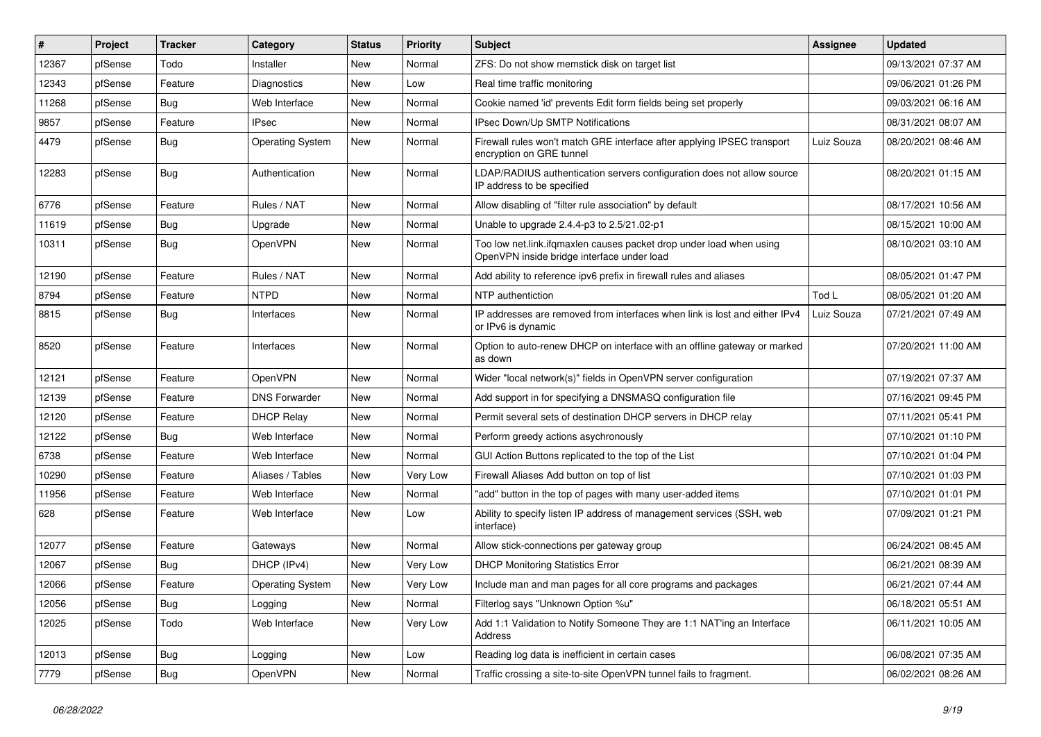| $\vert$ # | Project | <b>Tracker</b> | Category                | <b>Status</b> | <b>Priority</b> | <b>Subject</b>                                                                                                    | Assignee   | <b>Updated</b>      |
|-----------|---------|----------------|-------------------------|---------------|-----------------|-------------------------------------------------------------------------------------------------------------------|------------|---------------------|
| 12367     | pfSense | Todo           | Installer               | New           | Normal          | ZFS: Do not show memstick disk on target list                                                                     |            | 09/13/2021 07:37 AM |
| 12343     | pfSense | Feature        | Diagnostics             | <b>New</b>    | Low             | Real time traffic monitoring                                                                                      |            | 09/06/2021 01:26 PM |
| 11268     | pfSense | Bug            | Web Interface           | New           | Normal          | Cookie named 'id' prevents Edit form fields being set properly                                                    |            | 09/03/2021 06:16 AM |
| 9857      | pfSense | Feature        | <b>IPsec</b>            | <b>New</b>    | Normal          | IPsec Down/Up SMTP Notifications                                                                                  |            | 08/31/2021 08:07 AM |
| 4479      | pfSense | Bug            | <b>Operating System</b> | <b>New</b>    | Normal          | Firewall rules won't match GRE interface after applying IPSEC transport<br>encryption on GRE tunnel               | Luiz Souza | 08/20/2021 08:46 AM |
| 12283     | pfSense | Bug            | Authentication          | <b>New</b>    | Normal          | LDAP/RADIUS authentication servers configuration does not allow source<br>IP address to be specified              |            | 08/20/2021 01:15 AM |
| 6776      | pfSense | Feature        | Rules / NAT             | New           | Normal          | Allow disabling of "filter rule association" by default                                                           |            | 08/17/2021 10:56 AM |
| 11619     | pfSense | Bug            | Upgrade                 | New           | Normal          | Unable to upgrade 2.4.4-p3 to 2.5/21.02-p1                                                                        |            | 08/15/2021 10:00 AM |
| 10311     | pfSense | Bug            | OpenVPN                 | New           | Normal          | Too low net.link.ifqmaxlen causes packet drop under load when using<br>OpenVPN inside bridge interface under load |            | 08/10/2021 03:10 AM |
| 12190     | pfSense | Feature        | Rules / NAT             | <b>New</b>    | Normal          | Add ability to reference ipv6 prefix in firewall rules and aliases                                                |            | 08/05/2021 01:47 PM |
| 8794      | pfSense | Feature        | <b>NTPD</b>             | New           | Normal          | NTP authentiction                                                                                                 | Tod L      | 08/05/2021 01:20 AM |
| 8815      | pfSense | <b>Bug</b>     | Interfaces              | New           | Normal          | IP addresses are removed from interfaces when link is lost and either IPv4<br>or IPv6 is dynamic                  | Luiz Souza | 07/21/2021 07:49 AM |
| 8520      | pfSense | Feature        | Interfaces              | New           | Normal          | Option to auto-renew DHCP on interface with an offline gateway or marked<br>as down                               |            | 07/20/2021 11:00 AM |
| 12121     | pfSense | Feature        | OpenVPN                 | <b>New</b>    | Normal          | Wider "local network(s)" fields in OpenVPN server configuration                                                   |            | 07/19/2021 07:37 AM |
| 12139     | pfSense | Feature        | <b>DNS Forwarder</b>    | <b>New</b>    | Normal          | Add support in for specifying a DNSMASQ configuration file                                                        |            | 07/16/2021 09:45 PM |
| 12120     | pfSense | Feature        | <b>DHCP Relay</b>       | <b>New</b>    | Normal          | Permit several sets of destination DHCP servers in DHCP relay                                                     |            | 07/11/2021 05:41 PM |
| 12122     | pfSense | Bug            | Web Interface           | New           | Normal          | Perform greedy actions asychronously                                                                              |            | 07/10/2021 01:10 PM |
| 6738      | pfSense | Feature        | Web Interface           | New           | Normal          | GUI Action Buttons replicated to the top of the List                                                              |            | 07/10/2021 01:04 PM |
| 10290     | pfSense | Feature        | Aliases / Tables        | <b>New</b>    | Very Low        | Firewall Aliases Add button on top of list                                                                        |            | 07/10/2021 01:03 PM |
| 11956     | pfSense | Feature        | Web Interface           | New           | Normal          | "add" button in the top of pages with many user-added items                                                       |            | 07/10/2021 01:01 PM |
| 628       | pfSense | Feature        | Web Interface           | New           | Low             | Ability to specify listen IP address of management services (SSH, web<br>interface)                               |            | 07/09/2021 01:21 PM |
| 12077     | pfSense | Feature        | Gateways                | <b>New</b>    | Normal          | Allow stick-connections per gateway group                                                                         |            | 06/24/2021 08:45 AM |
| 12067     | pfSense | <b>Bug</b>     | DHCP (IPv4)             | New           | Very Low        | <b>DHCP Monitoring Statistics Error</b>                                                                           |            | 06/21/2021 08:39 AM |
| 12066     | pfSense | Feature        | <b>Operating System</b> | New           | Very Low        | Include man and man pages for all core programs and packages                                                      |            | 06/21/2021 07:44 AM |
| 12056     | pfSense | Bug            | Logging                 | New           | Normal          | Filterlog says "Unknown Option %u"                                                                                |            | 06/18/2021 05:51 AM |
| 12025     | pfSense | Todo           | Web Interface           | New           | Very Low        | Add 1:1 Validation to Notify Someone They are 1:1 NAT'ing an Interface<br>Address                                 |            | 06/11/2021 10:05 AM |
| 12013     | pfSense | <b>Bug</b>     | Logging                 | New           | Low             | Reading log data is inefficient in certain cases                                                                  |            | 06/08/2021 07:35 AM |
| 7779      | pfSense | Bug            | OpenVPN                 | New           | Normal          | Traffic crossing a site-to-site OpenVPN tunnel fails to fragment.                                                 |            | 06/02/2021 08:26 AM |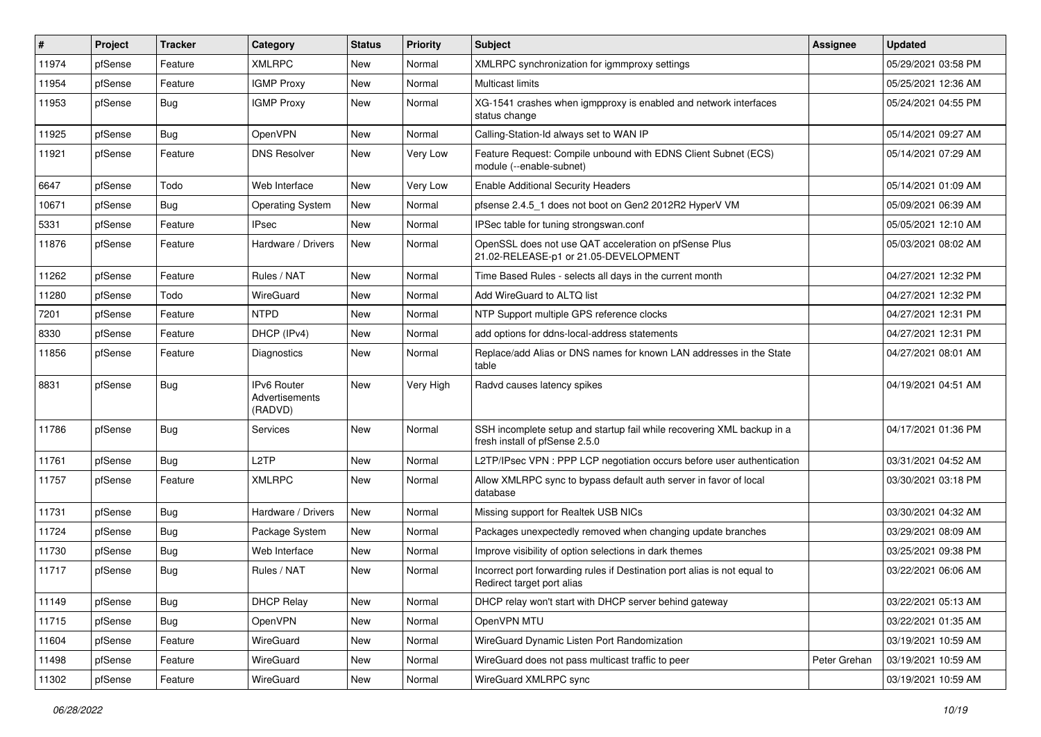| #     | Project | <b>Tracker</b> | Category                                 | <b>Status</b> | Priority  | <b>Subject</b>                                                                                           | <b>Assignee</b> | <b>Updated</b>      |
|-------|---------|----------------|------------------------------------------|---------------|-----------|----------------------------------------------------------------------------------------------------------|-----------------|---------------------|
| 11974 | pfSense | Feature        | <b>XMLRPC</b>                            | <b>New</b>    | Normal    | XMLRPC synchronization for igmmproxy settings                                                            |                 | 05/29/2021 03:58 PM |
| 11954 | pfSense | Feature        | <b>IGMP Proxy</b>                        | <b>New</b>    | Normal    | <b>Multicast limits</b>                                                                                  |                 | 05/25/2021 12:36 AM |
| 11953 | pfSense | <b>Bug</b>     | <b>IGMP Proxy</b>                        | <b>New</b>    | Normal    | XG-1541 crashes when igmpproxy is enabled and network interfaces<br>status change                        |                 | 05/24/2021 04:55 PM |
| 11925 | pfSense | <b>Bug</b>     | OpenVPN                                  | <b>New</b>    | Normal    | Calling-Station-Id always set to WAN IP                                                                  |                 | 05/14/2021 09:27 AM |
| 11921 | pfSense | Feature        | <b>DNS Resolver</b>                      | <b>New</b>    | Very Low  | Feature Request: Compile unbound with EDNS Client Subnet (ECS)<br>module (--enable-subnet)               |                 | 05/14/2021 07:29 AM |
| 6647  | pfSense | Todo           | Web Interface                            | <b>New</b>    | Very Low  | <b>Enable Additional Security Headers</b>                                                                |                 | 05/14/2021 01:09 AM |
| 10671 | pfSense | Bug            | <b>Operating System</b>                  | New           | Normal    | pfsense 2.4.5 1 does not boot on Gen2 2012R2 HyperV VM                                                   |                 | 05/09/2021 06:39 AM |
| 5331  | pfSense | Feature        | <b>IPsec</b>                             | <b>New</b>    | Normal    | IPSec table for tuning strongswan.conf                                                                   |                 | 05/05/2021 12:10 AM |
| 11876 | pfSense | Feature        | Hardware / Drivers                       | New           | Normal    | OpenSSL does not use QAT acceleration on pfSense Plus<br>21.02-RELEASE-p1 or 21.05-DEVELOPMENT           |                 | 05/03/2021 08:02 AM |
| 11262 | pfSense | Feature        | Rules / NAT                              | <b>New</b>    | Normal    | Time Based Rules - selects all days in the current month                                                 |                 | 04/27/2021 12:32 PM |
| 11280 | pfSense | Todo           | WireGuard                                | <b>New</b>    | Normal    | Add WireGuard to ALTO list                                                                               |                 | 04/27/2021 12:32 PM |
| 7201  | pfSense | Feature        | <b>NTPD</b>                              | New           | Normal    | NTP Support multiple GPS reference clocks                                                                |                 | 04/27/2021 12:31 PM |
| 8330  | pfSense | Feature        | DHCP (IPv4)                              | <b>New</b>    | Normal    | add options for ddns-local-address statements                                                            |                 | 04/27/2021 12:31 PM |
| 11856 | pfSense | Feature        | <b>Diagnostics</b>                       | <b>New</b>    | Normal    | Replace/add Alias or DNS names for known LAN addresses in the State<br>table                             |                 | 04/27/2021 08:01 AM |
| 8831  | pfSense | <b>Bug</b>     | IPv6 Router<br>Advertisements<br>(RADVD) | New           | Very High | Radvd causes latency spikes                                                                              |                 | 04/19/2021 04:51 AM |
| 11786 | pfSense | Bug            | Services                                 | <b>New</b>    | Normal    | SSH incomplete setup and startup fail while recovering XML backup in a<br>fresh install of pfSense 2.5.0 |                 | 04/17/2021 01:36 PM |
| 11761 | pfSense | Bug            | L <sub>2</sub> TP                        | <b>New</b>    | Normal    | L2TP/IPsec VPN : PPP LCP negotiation occurs before user authentication                                   |                 | 03/31/2021 04:52 AM |
| 11757 | pfSense | Feature        | <b>XMLRPC</b>                            | New           | Normal    | Allow XMLRPC sync to bypass default auth server in favor of local<br>database                            |                 | 03/30/2021 03:18 PM |
| 11731 | pfSense | <b>Bug</b>     | Hardware / Drivers                       | <b>New</b>    | Normal    | Missing support for Realtek USB NICs                                                                     |                 | 03/30/2021 04:32 AM |
| 11724 | pfSense | Bug            | Package System                           | <b>New</b>    | Normal    | Packages unexpectedly removed when changing update branches                                              |                 | 03/29/2021 08:09 AM |
| 11730 | pfSense | <b>Bug</b>     | Web Interface                            | <b>New</b>    | Normal    | Improve visibility of option selections in dark themes                                                   |                 | 03/25/2021 09:38 PM |
| 11717 | pfSense | <b>Bug</b>     | Rules / NAT                              | New           | Normal    | Incorrect port forwarding rules if Destination port alias is not equal to<br>Redirect target port alias  |                 | 03/22/2021 06:06 AM |
| 11149 | pfSense | Bug            | <b>DHCP Relay</b>                        | <b>New</b>    | Normal    | DHCP relay won't start with DHCP server behind gateway                                                   |                 | 03/22/2021 05:13 AM |
| 11715 | pfSense | <b>Bug</b>     | OpenVPN                                  | New           | Normal    | OpenVPN MTU                                                                                              |                 | 03/22/2021 01:35 AM |
| 11604 | pfSense | Feature        | WireGuard                                | New           | Normal    | WireGuard Dynamic Listen Port Randomization                                                              |                 | 03/19/2021 10:59 AM |
| 11498 | pfSense | Feature        | WireGuard                                | New           | Normal    | WireGuard does not pass multicast traffic to peer                                                        | Peter Grehan    | 03/19/2021 10:59 AM |
| 11302 | pfSense | Feature        | WireGuard                                | New           | Normal    | WireGuard XMLRPC sync                                                                                    |                 | 03/19/2021 10:59 AM |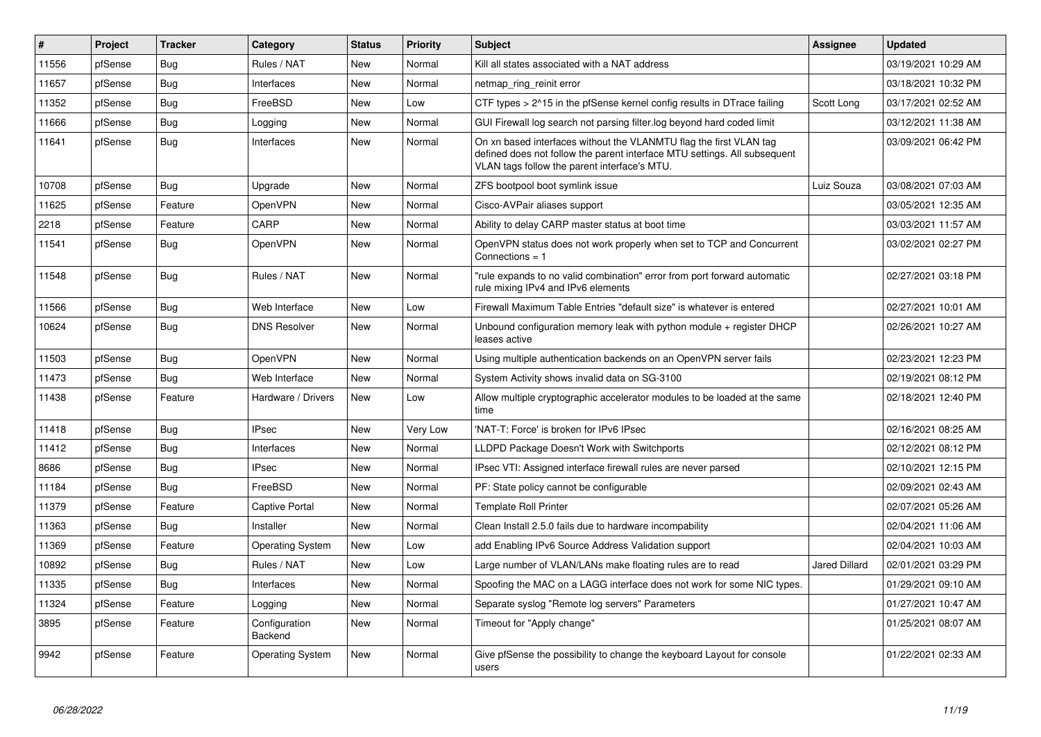| #     | Project | <b>Tracker</b> | Category                 | <b>Status</b> | <b>Priority</b> | <b>Subject</b>                                                                                                                                                                                  | <b>Assignee</b>      | <b>Updated</b>      |
|-------|---------|----------------|--------------------------|---------------|-----------------|-------------------------------------------------------------------------------------------------------------------------------------------------------------------------------------------------|----------------------|---------------------|
| 11556 | pfSense | Bug            | Rules / NAT              | <b>New</b>    | Normal          | Kill all states associated with a NAT address                                                                                                                                                   |                      | 03/19/2021 10:29 AM |
| 11657 | pfSense | Bug            | Interfaces               | <b>New</b>    | Normal          | netmap ring reinit error                                                                                                                                                                        |                      | 03/18/2021 10:32 PM |
| 11352 | pfSense | <b>Bug</b>     | FreeBSD                  | <b>New</b>    | Low             | CTF types > 2^15 in the pfSense kernel config results in DTrace failing                                                                                                                         | Scott Long           | 03/17/2021 02:52 AM |
| 11666 | pfSense | Bug            | Logging                  | <b>New</b>    | Normal          | GUI Firewall log search not parsing filter.log beyond hard coded limit                                                                                                                          |                      | 03/12/2021 11:38 AM |
| 11641 | pfSense | Bug            | Interfaces               | New           | Normal          | On xn based interfaces without the VLANMTU flag the first VLAN tag<br>defined does not follow the parent interface MTU settings. All subsequent<br>VLAN tags follow the parent interface's MTU. |                      | 03/09/2021 06:42 PM |
| 10708 | pfSense | Bug            | Upgrade                  | <b>New</b>    | Normal          | ZFS bootpool boot symlink issue                                                                                                                                                                 | Luiz Souza           | 03/08/2021 07:03 AM |
| 11625 | pfSense | Feature        | <b>OpenVPN</b>           | <b>New</b>    | Normal          | Cisco-AVPair aliases support                                                                                                                                                                    |                      | 03/05/2021 12:35 AM |
| 2218  | pfSense | Feature        | CARP                     | <b>New</b>    | Normal          | Ability to delay CARP master status at boot time                                                                                                                                                |                      | 03/03/2021 11:57 AM |
| 11541 | pfSense | Bug            | OpenVPN                  | <b>New</b>    | Normal          | OpenVPN status does not work properly when set to TCP and Concurrent<br>Connections = $1$                                                                                                       |                      | 03/02/2021 02:27 PM |
| 11548 | pfSense | Bug            | Rules / NAT              | New           | Normal          | "rule expands to no valid combination" error from port forward automatic<br>rule mixing IPv4 and IPv6 elements                                                                                  |                      | 02/27/2021 03:18 PM |
| 11566 | pfSense | Bug            | Web Interface            | <b>New</b>    | Low             | Firewall Maximum Table Entries "default size" is whatever is entered                                                                                                                            |                      | 02/27/2021 10:01 AM |
| 10624 | pfSense | Bug            | <b>DNS Resolver</b>      | <b>New</b>    | Normal          | Unbound configuration memory leak with python module $+$ register DHCP<br>leases active                                                                                                         |                      | 02/26/2021 10:27 AM |
| 11503 | pfSense | <b>Bug</b>     | <b>OpenVPN</b>           | <b>New</b>    | Normal          | Using multiple authentication backends on an OpenVPN server fails                                                                                                                               |                      | 02/23/2021 12:23 PM |
| 11473 | pfSense | <b>Bug</b>     | Web Interface            | <b>New</b>    | Normal          | System Activity shows invalid data on SG-3100                                                                                                                                                   |                      | 02/19/2021 08:12 PM |
| 11438 | pfSense | Feature        | Hardware / Drivers       | <b>New</b>    | Low             | Allow multiple cryptographic accelerator modules to be loaded at the same<br>time                                                                                                               |                      | 02/18/2021 12:40 PM |
| 11418 | pfSense | <b>Bug</b>     | <b>IPsec</b>             | <b>New</b>    | Very Low        | 'NAT-T: Force' is broken for IPv6 IPsec                                                                                                                                                         |                      | 02/16/2021 08:25 AM |
| 11412 | pfSense | Bug            | Interfaces               | <b>New</b>    | Normal          | LLDPD Package Doesn't Work with Switchports                                                                                                                                                     |                      | 02/12/2021 08:12 PM |
| 8686  | pfSense | <b>Bug</b>     | <b>IPsec</b>             | <b>New</b>    | Normal          | IPsec VTI: Assigned interface firewall rules are never parsed                                                                                                                                   |                      | 02/10/2021 12:15 PM |
| 11184 | pfSense | Bug            | FreeBSD                  | <b>New</b>    | Normal          | PF: State policy cannot be configurable                                                                                                                                                         |                      | 02/09/2021 02:43 AM |
| 11379 | pfSense | Feature        | Captive Portal           | <b>New</b>    | Normal          | <b>Template Roll Printer</b>                                                                                                                                                                    |                      | 02/07/2021 05:26 AM |
| 11363 | pfSense | <b>Bug</b>     | Installer                | <b>New</b>    | Normal          | Clean Install 2.5.0 fails due to hardware incompability                                                                                                                                         |                      | 02/04/2021 11:06 AM |
| 11369 | pfSense | Feature        | <b>Operating System</b>  | <b>New</b>    | Low             | add Enabling IPv6 Source Address Validation support                                                                                                                                             |                      | 02/04/2021 10:03 AM |
| 10892 | pfSense | Bug            | Rules / NAT              | <b>New</b>    | Low             | Large number of VLAN/LANs make floating rules are to read                                                                                                                                       | <b>Jared Dillard</b> | 02/01/2021 03:29 PM |
| 11335 | pfSense | <b>Bug</b>     | Interfaces               | <b>New</b>    | Normal          | Spoofing the MAC on a LAGG interface does not work for some NIC types.                                                                                                                          |                      | 01/29/2021 09:10 AM |
| 11324 | pfSense | Feature        | Logging                  | <b>New</b>    | Normal          | Separate syslog "Remote log servers" Parameters                                                                                                                                                 |                      | 01/27/2021 10:47 AM |
| 3895  | pfSense | Feature        | Configuration<br>Backend | New           | Normal          | Timeout for "Apply change"                                                                                                                                                                      |                      | 01/25/2021 08:07 AM |
| 9942  | pfSense | Feature        | <b>Operating System</b>  | <b>New</b>    | Normal          | Give pfSense the possibility to change the keyboard Layout for console<br>users                                                                                                                 |                      | 01/22/2021 02:33 AM |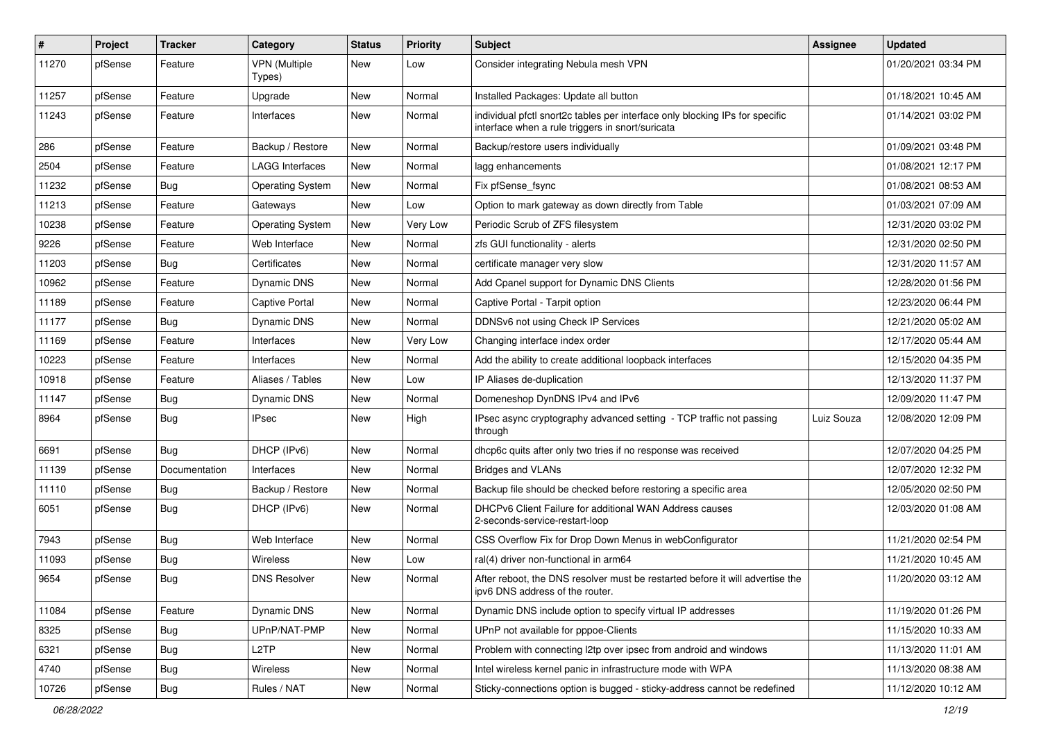| #     | Project | <b>Tracker</b> | Category                       | <b>Status</b> | <b>Priority</b> | <b>Subject</b>                                                                                                                   | Assignee   | <b>Updated</b>      |
|-------|---------|----------------|--------------------------------|---------------|-----------------|----------------------------------------------------------------------------------------------------------------------------------|------------|---------------------|
| 11270 | pfSense | Feature        | <b>VPN</b> (Multiple<br>Types) | New           | Low             | Consider integrating Nebula mesh VPN                                                                                             |            | 01/20/2021 03:34 PM |
| 11257 | pfSense | Feature        | Upgrade                        | New           | Normal          | Installed Packages: Update all button                                                                                            |            | 01/18/2021 10:45 AM |
| 11243 | pfSense | Feature        | Interfaces                     | New           | Normal          | individual pfctl snort2c tables per interface only blocking IPs for specific<br>interface when a rule triggers in snort/suricata |            | 01/14/2021 03:02 PM |
| 286   | pfSense | Feature        | Backup / Restore               | <b>New</b>    | Normal          | Backup/restore users individually                                                                                                |            | 01/09/2021 03:48 PM |
| 2504  | pfSense | Feature        | LAGG Interfaces                | New           | Normal          | lagg enhancements                                                                                                                |            | 01/08/2021 12:17 PM |
| 11232 | pfSense | Bug            | <b>Operating System</b>        | New           | Normal          | Fix pfSense_fsync                                                                                                                |            | 01/08/2021 08:53 AM |
| 11213 | pfSense | Feature        | Gateways                       | New           | Low             | Option to mark gateway as down directly from Table                                                                               |            | 01/03/2021 07:09 AM |
| 10238 | pfSense | Feature        | <b>Operating System</b>        | New           | Very Low        | Periodic Scrub of ZFS filesystem                                                                                                 |            | 12/31/2020 03:02 PM |
| 9226  | pfSense | Feature        | Web Interface                  | New           | Normal          | zfs GUI functionality - alerts                                                                                                   |            | 12/31/2020 02:50 PM |
| 11203 | pfSense | <b>Bug</b>     | Certificates                   | New           | Normal          | certificate manager very slow                                                                                                    |            | 12/31/2020 11:57 AM |
| 10962 | pfSense | Feature        | Dynamic DNS                    | <b>New</b>    | Normal          | Add Cpanel support for Dynamic DNS Clients                                                                                       |            | 12/28/2020 01:56 PM |
| 11189 | pfSense | Feature        | Captive Portal                 | New           | Normal          | Captive Portal - Tarpit option                                                                                                   |            | 12/23/2020 06:44 PM |
| 11177 | pfSense | Bug            | Dynamic DNS                    | New           | Normal          | DDNSv6 not using Check IP Services                                                                                               |            | 12/21/2020 05:02 AM |
| 11169 | pfSense | Feature        | Interfaces                     | New           | Very Low        | Changing interface index order                                                                                                   |            | 12/17/2020 05:44 AM |
| 10223 | pfSense | Feature        | Interfaces                     | New           | Normal          | Add the ability to create additional loopback interfaces                                                                         |            | 12/15/2020 04:35 PM |
| 10918 | pfSense | Feature        | Aliases / Tables               | New           | Low             | IP Aliases de-duplication                                                                                                        |            | 12/13/2020 11:37 PM |
| 11147 | pfSense | <b>Bug</b>     | Dynamic DNS                    | New           | Normal          | Domeneshop DynDNS IPv4 and IPv6                                                                                                  |            | 12/09/2020 11:47 PM |
| 8964  | pfSense | <b>Bug</b>     | <b>IPsec</b>                   | New           | High            | IPsec async cryptography advanced setting - TCP traffic not passing<br>through                                                   | Luiz Souza | 12/08/2020 12:09 PM |
| 6691  | pfSense | Bug            | DHCP (IPv6)                    | New           | Normal          | dhcp6c quits after only two tries if no response was received                                                                    |            | 12/07/2020 04:25 PM |
| 11139 | pfSense | Documentation  | Interfaces                     | <b>New</b>    | Normal          | <b>Bridges and VLANs</b>                                                                                                         |            | 12/07/2020 12:32 PM |
| 11110 | pfSense | Bug            | Backup / Restore               | New           | Normal          | Backup file should be checked before restoring a specific area                                                                   |            | 12/05/2020 02:50 PM |
| 6051  | pfSense | <b>Bug</b>     | DHCP (IPv6)                    | New           | Normal          | DHCPv6 Client Failure for additional WAN Address causes<br>2-seconds-service-restart-loop                                        |            | 12/03/2020 01:08 AM |
| 7943  | pfSense | Bug            | Web Interface                  | New           | Normal          | CSS Overflow Fix for Drop Down Menus in webConfigurator                                                                          |            | 11/21/2020 02:54 PM |
| 11093 | pfSense | <b>Bug</b>     | Wireless                       | New           | Low             | ral(4) driver non-functional in arm64                                                                                            |            | 11/21/2020 10:45 AM |
| 9654  | pfSense | <b>Bug</b>     | <b>DNS Resolver</b>            | New           | Normal          | After reboot, the DNS resolver must be restarted before it will advertise the<br>ipv6 DNS address of the router.                 |            | 11/20/2020 03:12 AM |
| 11084 | pfSense | Feature        | Dynamic DNS                    | New           | Normal          | Dynamic DNS include option to specify virtual IP addresses                                                                       |            | 11/19/2020 01:26 PM |
| 8325  | pfSense | <b>Bug</b>     | UPnP/NAT-PMP                   | New           | Normal          | UPnP not available for pppoe-Clients                                                                                             |            | 11/15/2020 10:33 AM |
| 6321  | pfSense | <b>Bug</b>     | L <sub>2</sub> TP              | New           | Normal          | Problem with connecting I2tp over ipsec from android and windows                                                                 |            | 11/13/2020 11:01 AM |
| 4740  | pfSense | <b>Bug</b>     | Wireless                       | New           | Normal          | Intel wireless kernel panic in infrastructure mode with WPA                                                                      |            | 11/13/2020 08:38 AM |
| 10726 | pfSense | Bug            | Rules / NAT                    | New           | Normal          | Sticky-connections option is bugged - sticky-address cannot be redefined                                                         |            | 11/12/2020 10:12 AM |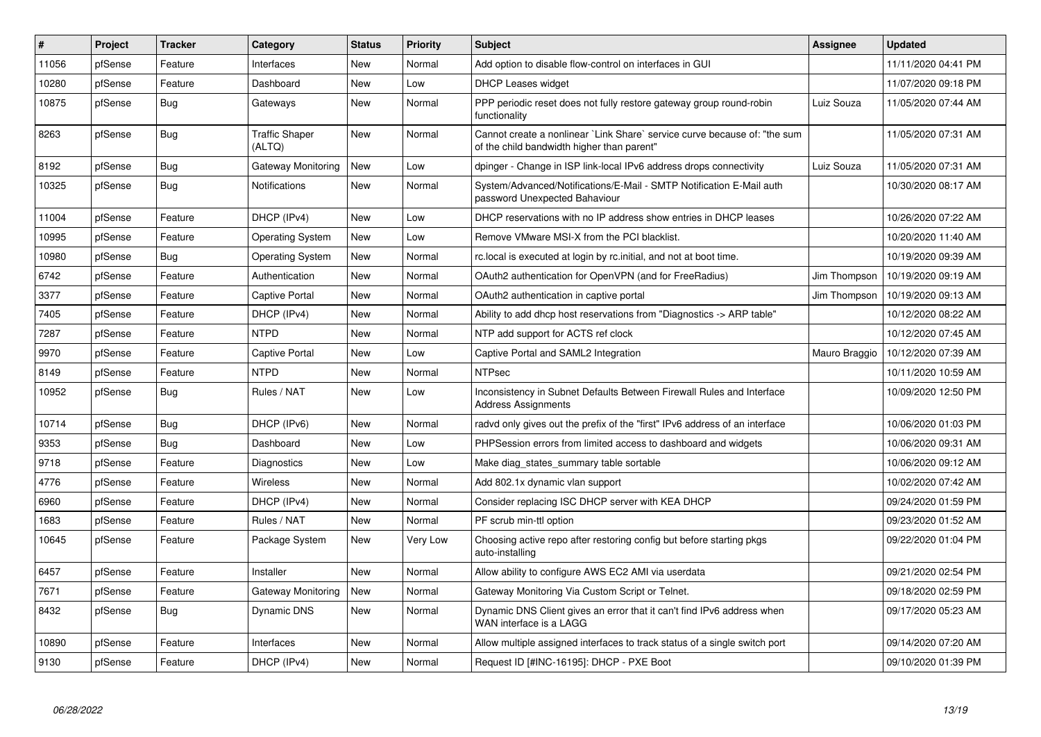| #     | Project | <b>Tracker</b> | Category                        | <b>Status</b> | <b>Priority</b> | <b>Subject</b>                                                                                                          | <b>Assignee</b> | <b>Updated</b>      |
|-------|---------|----------------|---------------------------------|---------------|-----------------|-------------------------------------------------------------------------------------------------------------------------|-----------------|---------------------|
| 11056 | pfSense | Feature        | Interfaces                      | <b>New</b>    | Normal          | Add option to disable flow-control on interfaces in GUI                                                                 |                 | 11/11/2020 04:41 PM |
| 10280 | pfSense | Feature        | Dashboard                       | <b>New</b>    | Low             | <b>DHCP Leases widget</b>                                                                                               |                 | 11/07/2020 09:18 PM |
| 10875 | pfSense | <b>Bug</b>     | Gateways                        | New           | Normal          | PPP periodic reset does not fully restore gateway group round-robin<br>functionality                                    | Luiz Souza      | 11/05/2020 07:44 AM |
| 8263  | pfSense | <b>Bug</b>     | <b>Traffic Shaper</b><br>(ALTQ) | New           | Normal          | Cannot create a nonlinear `Link Share` service curve because of: "the sum<br>of the child bandwidth higher than parent" |                 | 11/05/2020 07:31 AM |
| 8192  | pfSense | Bug            | Gateway Monitoring              | New           | Low             | dpinger - Change in ISP link-local IPv6 address drops connectivity                                                      | Luiz Souza      | 11/05/2020 07:31 AM |
| 10325 | pfSense | <b>Bug</b>     | <b>Notifications</b>            | <b>New</b>    | Normal          | System/Advanced/Notifications/E-Mail - SMTP Notification E-Mail auth<br>password Unexpected Bahaviour                   |                 | 10/30/2020 08:17 AM |
| 11004 | pfSense | Feature        | DHCP (IPv4)                     | <b>New</b>    | Low             | DHCP reservations with no IP address show entries in DHCP leases                                                        |                 | 10/26/2020 07:22 AM |
| 10995 | pfSense | Feature        | <b>Operating System</b>         | <b>New</b>    | Low             | Remove VMware MSI-X from the PCI blacklist.                                                                             |                 | 10/20/2020 11:40 AM |
| 10980 | pfSense | <b>Bug</b>     | Operating System                | <b>New</b>    | Normal          | rc.local is executed at login by rc.initial, and not at boot time.                                                      |                 | 10/19/2020 09:39 AM |
| 6742  | pfSense | Feature        | Authentication                  | <b>New</b>    | Normal          | OAuth2 authentication for OpenVPN (and for FreeRadius)                                                                  | Jim Thompson    | 10/19/2020 09:19 AM |
| 3377  | pfSense | Feature        | <b>Captive Portal</b>           | New           | Normal          | OAuth2 authentication in captive portal                                                                                 | Jim Thompson    | 10/19/2020 09:13 AM |
| 7405  | pfSense | Feature        | DHCP (IPv4)                     | New           | Normal          | Ability to add dhcp host reservations from "Diagnostics -> ARP table"                                                   |                 | 10/12/2020 08:22 AM |
| 7287  | pfSense | Feature        | <b>NTPD</b>                     | New           | Normal          | NTP add support for ACTS ref clock                                                                                      |                 | 10/12/2020 07:45 AM |
| 9970  | pfSense | Feature        | Captive Portal                  | New           | Low             | Captive Portal and SAML2 Integration                                                                                    | Mauro Braggio   | 10/12/2020 07:39 AM |
| 8149  | pfSense | Feature        | <b>NTPD</b>                     | New           | Normal          | <b>NTPsec</b>                                                                                                           |                 | 10/11/2020 10:59 AM |
| 10952 | pfSense | <b>Bug</b>     | Rules / NAT                     | New           | Low             | Inconsistency in Subnet Defaults Between Firewall Rules and Interface<br><b>Address Assignments</b>                     |                 | 10/09/2020 12:50 PM |
| 10714 | pfSense | <b>Bug</b>     | DHCP (IPv6)                     | <b>New</b>    | Normal          | radvd only gives out the prefix of the "first" IPv6 address of an interface                                             |                 | 10/06/2020 01:03 PM |
| 9353  | pfSense | <b>Bug</b>     | Dashboard                       | New           | Low             | PHPSession errors from limited access to dashboard and widgets                                                          |                 | 10/06/2020 09:31 AM |
| 9718  | pfSense | Feature        | Diagnostics                     | New           | Low             | Make diag_states_summary table sortable                                                                                 |                 | 10/06/2020 09:12 AM |
| 4776  | pfSense | Feature        | Wireless                        | New           | Normal          | Add 802.1x dynamic vlan support                                                                                         |                 | 10/02/2020 07:42 AM |
| 6960  | pfSense | Feature        | DHCP (IPv4)                     | New           | Normal          | Consider replacing ISC DHCP server with KEA DHCP                                                                        |                 | 09/24/2020 01:59 PM |
| 1683  | pfSense | Feature        | Rules / NAT                     | New           | Normal          | PF scrub min-ttl option                                                                                                 |                 | 09/23/2020 01:52 AM |
| 10645 | pfSense | Feature        | Package System                  | New           | Very Low        | Choosing active repo after restoring config but before starting pkgs<br>auto-installing                                 |                 | 09/22/2020 01:04 PM |
| 6457  | pfSense | Feature        | Installer                       | New           | Normal          | Allow ability to configure AWS EC2 AMI via userdata                                                                     |                 | 09/21/2020 02:54 PM |
| 7671  | pfSense | Feature        | Gateway Monitoring              | New           | Normal          | Gateway Monitoring Via Custom Script or Telnet.                                                                         |                 | 09/18/2020 02:59 PM |
| 8432  | pfSense | <b>Bug</b>     | Dynamic DNS                     | New           | Normal          | Dynamic DNS Client gives an error that it can't find IPv6 address when<br>WAN interface is a LAGG                       |                 | 09/17/2020 05:23 AM |
| 10890 | pfSense | Feature        | Interfaces                      | New           | Normal          | Allow multiple assigned interfaces to track status of a single switch port                                              |                 | 09/14/2020 07:20 AM |
| 9130  | pfSense | Feature        | DHCP (IPv4)                     | New           | Normal          | Request ID [#INC-16195]: DHCP - PXE Boot                                                                                |                 | 09/10/2020 01:39 PM |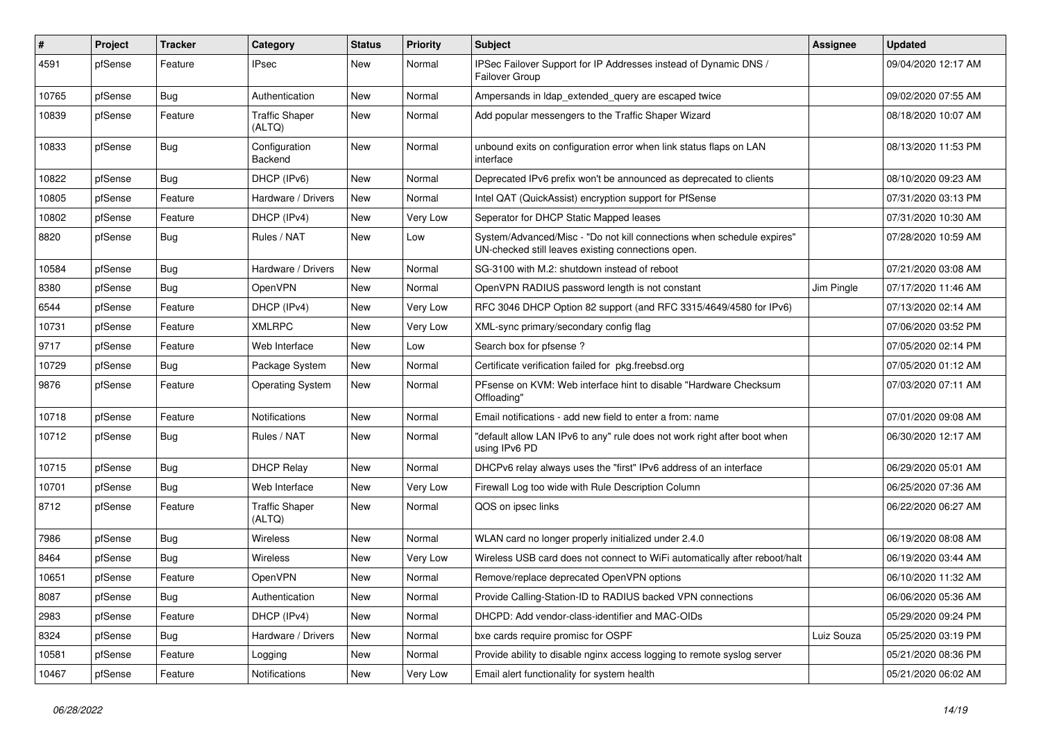| ∦     | Project | <b>Tracker</b> | Category                        | <b>Status</b> | Priority | <b>Subject</b>                                                                                                               | <b>Assignee</b> | <b>Updated</b>      |
|-------|---------|----------------|---------------------------------|---------------|----------|------------------------------------------------------------------------------------------------------------------------------|-----------------|---------------------|
| 4591  | pfSense | Feature        | IPsec                           | New           | Normal   | IPSec Failover Support for IP Addresses instead of Dynamic DNS /<br>Failover Group                                           |                 | 09/04/2020 12:17 AM |
| 10765 | pfSense | Bug            | Authentication                  | <b>New</b>    | Normal   | Ampersands in Idap extended query are escaped twice                                                                          |                 | 09/02/2020 07:55 AM |
| 10839 | pfSense | Feature        | <b>Traffic Shaper</b><br>(ALTQ) | <b>New</b>    | Normal   | Add popular messengers to the Traffic Shaper Wizard                                                                          |                 | 08/18/2020 10:07 AM |
| 10833 | pfSense | <b>Bug</b>     | Configuration<br>Backend        | <b>New</b>    | Normal   | unbound exits on configuration error when link status flaps on LAN<br>interface                                              |                 | 08/13/2020 11:53 PM |
| 10822 | pfSense | <b>Bug</b>     | DHCP (IPv6)                     | <b>New</b>    | Normal   | Deprecated IPv6 prefix won't be announced as deprecated to clients                                                           |                 | 08/10/2020 09:23 AM |
| 10805 | pfSense | Feature        | Hardware / Drivers              | New           | Normal   | Intel QAT (QuickAssist) encryption support for PfSense                                                                       |                 | 07/31/2020 03:13 PM |
| 10802 | pfSense | Feature        | DHCP (IPv4)                     | <b>New</b>    | Very Low | Seperator for DHCP Static Mapped leases                                                                                      |                 | 07/31/2020 10:30 AM |
| 8820  | pfSense | Bug            | Rules / NAT                     | New           | Low      | System/Advanced/Misc - "Do not kill connections when schedule expires"<br>UN-checked still leaves existing connections open. |                 | 07/28/2020 10:59 AM |
| 10584 | pfSense | <b>Bug</b>     | Hardware / Drivers              | <b>New</b>    | Normal   | SG-3100 with M.2: shutdown instead of reboot                                                                                 |                 | 07/21/2020 03:08 AM |
| 8380  | pfSense | Bug            | OpenVPN                         | <b>New</b>    | Normal   | OpenVPN RADIUS password length is not constant                                                                               | Jim Pingle      | 07/17/2020 11:46 AM |
| 6544  | pfSense | Feature        | DHCP (IPv4)                     | New           | Very Low | RFC 3046 DHCP Option 82 support (and RFC 3315/4649/4580 for IPv6)                                                            |                 | 07/13/2020 02:14 AM |
| 10731 | pfSense | Feature        | <b>XMLRPC</b>                   | <b>New</b>    | Very Low | XML-sync primary/secondary config flag                                                                                       |                 | 07/06/2020 03:52 PM |
| 9717  | pfSense | Feature        | Web Interface                   | <b>New</b>    | Low      | Search box for pfsense?                                                                                                      |                 | 07/05/2020 02:14 PM |
| 10729 | pfSense | Bug            | Package System                  | <b>New</b>    | Normal   | Certificate verification failed for pkg.freebsd.org                                                                          |                 | 07/05/2020 01:12 AM |
| 9876  | pfSense | Feature        | <b>Operating System</b>         | New           | Normal   | PFsense on KVM: Web interface hint to disable "Hardware Checksum<br>Offloading'                                              |                 | 07/03/2020 07:11 AM |
| 10718 | pfSense | Feature        | Notifications                   | <b>New</b>    | Normal   | Email notifications - add new field to enter a from: name                                                                    |                 | 07/01/2020 09:08 AM |
| 10712 | pfSense | <b>Bug</b>     | Rules / NAT                     | New           | Normal   | "default allow LAN IPv6 to any" rule does not work right after boot when<br>using IPv6 PD                                    |                 | 06/30/2020 12:17 AM |
| 10715 | pfSense | Bug            | <b>DHCP Relay</b>               | <b>New</b>    | Normal   | DHCPv6 relay always uses the "first" IPv6 address of an interface                                                            |                 | 06/29/2020 05:01 AM |
| 10701 | pfSense | Bug            | Web Interface                   | New           | Very Low | Firewall Log too wide with Rule Description Column                                                                           |                 | 06/25/2020 07:36 AM |
| 8712  | pfSense | Feature        | <b>Traffic Shaper</b><br>(ALTQ) | <b>New</b>    | Normal   | QOS on ipsec links                                                                                                           |                 | 06/22/2020 06:27 AM |
| 7986  | pfSense | Bug            | Wireless                        | <b>New</b>    | Normal   | WLAN card no longer properly initialized under 2.4.0                                                                         |                 | 06/19/2020 08:08 AM |
| 8464  | pfSense | <b>Bug</b>     | Wireless                        | <b>New</b>    | Very Low | Wireless USB card does not connect to WiFi automatically after reboot/halt                                                   |                 | 06/19/2020 03:44 AM |
| 10651 | pfSense | Feature        | <b>OpenVPN</b>                  | New           | Normal   | Remove/replace deprecated OpenVPN options                                                                                    |                 | 06/10/2020 11:32 AM |
| 8087  | pfSense | <b>Bug</b>     | Authentication                  | New           | Normal   | Provide Calling-Station-ID to RADIUS backed VPN connections                                                                  |                 | 06/06/2020 05:36 AM |
| 2983  | pfSense | Feature        | DHCP (IPv4)                     | New           | Normal   | DHCPD: Add vendor-class-identifier and MAC-OIDs                                                                              |                 | 05/29/2020 09:24 PM |
| 8324  | pfSense | <b>Bug</b>     | Hardware / Drivers              | New           | Normal   | bxe cards require promisc for OSPF                                                                                           | Luiz Souza      | 05/25/2020 03:19 PM |
| 10581 | pfSense | Feature        | Logging                         | New           | Normal   | Provide ability to disable nginx access logging to remote syslog server                                                      |                 | 05/21/2020 08:36 PM |
| 10467 | pfSense | Feature        | Notifications                   | New           | Very Low | Email alert functionality for system health                                                                                  |                 | 05/21/2020 06:02 AM |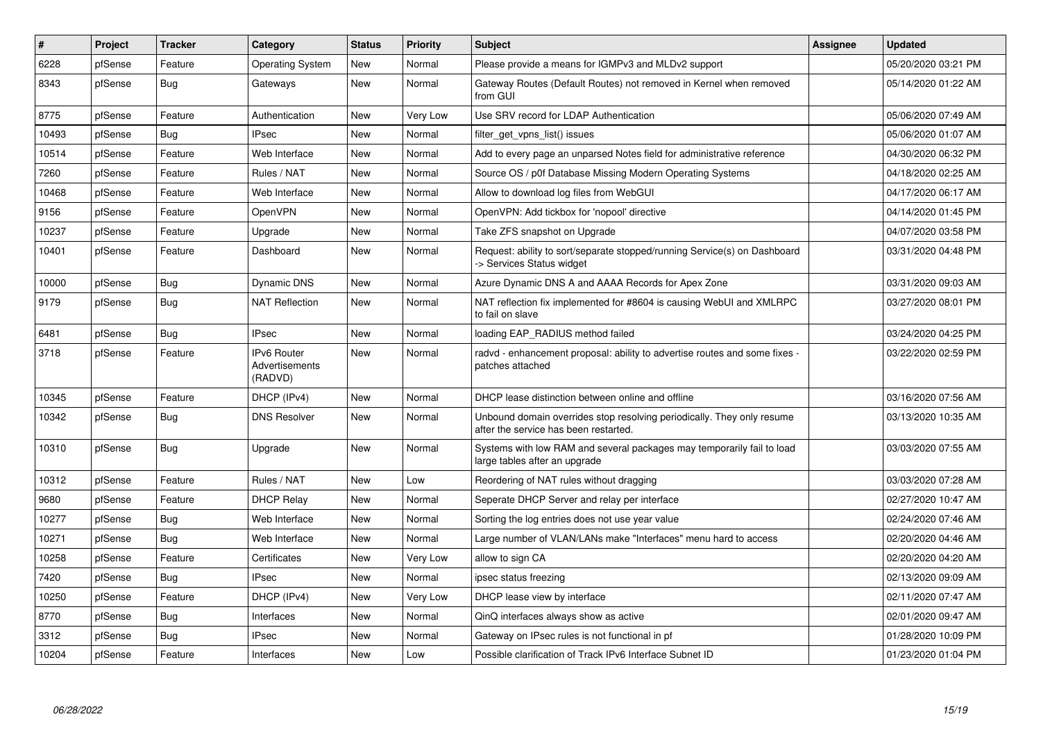| ∦     | <b>Project</b> | <b>Tracker</b> | Category                                        | <b>Status</b> | <b>Priority</b> | <b>Subject</b>                                                                                                  | <b>Assignee</b> | <b>Updated</b>      |
|-------|----------------|----------------|-------------------------------------------------|---------------|-----------------|-----------------------------------------------------------------------------------------------------------------|-----------------|---------------------|
| 6228  | pfSense        | Feature        | <b>Operating System</b>                         | <b>New</b>    | Normal          | Please provide a means for IGMPv3 and MLDv2 support                                                             |                 | 05/20/2020 03:21 PM |
| 8343  | pfSense        | <b>Bug</b>     | Gateways                                        | <b>New</b>    | Normal          | Gateway Routes (Default Routes) not removed in Kernel when removed<br>from GUI                                  |                 | 05/14/2020 01:22 AM |
| 8775  | pfSense        | Feature        | Authentication                                  | New           | Very Low        | Use SRV record for LDAP Authentication                                                                          |                 | 05/06/2020 07:49 AM |
| 10493 | pfSense        | <b>Bug</b>     | <b>IPsec</b>                                    | <b>New</b>    | Normal          | filter get vpns list() issues                                                                                   |                 | 05/06/2020 01:07 AM |
| 10514 | pfSense        | Feature        | Web Interface                                   | <b>New</b>    | Normal          | Add to every page an unparsed Notes field for administrative reference                                          |                 | 04/30/2020 06:32 PM |
| 7260  | pfSense        | Feature        | Rules / NAT                                     | <b>New</b>    | Normal          | Source OS / p0f Database Missing Modern Operating Systems                                                       |                 | 04/18/2020 02:25 AM |
| 10468 | pfSense        | Feature        | Web Interface                                   | <b>New</b>    | Normal          | Allow to download log files from WebGUI                                                                         |                 | 04/17/2020 06:17 AM |
| 9156  | pfSense        | Feature        | OpenVPN                                         | New           | Normal          | OpenVPN: Add tickbox for 'nopool' directive                                                                     |                 | 04/14/2020 01:45 PM |
| 10237 | pfSense        | Feature        | Upgrade                                         | <b>New</b>    | Normal          | Take ZFS snapshot on Upgrade                                                                                    |                 | 04/07/2020 03:58 PM |
| 10401 | pfSense        | Feature        | Dashboard                                       | New           | Normal          | Request: ability to sort/separate stopped/running Service(s) on Dashboard<br>-> Services Status widget          |                 | 03/31/2020 04:48 PM |
| 10000 | pfSense        | <b>Bug</b>     | <b>Dynamic DNS</b>                              | New           | Normal          | Azure Dynamic DNS A and AAAA Records for Apex Zone                                                              |                 | 03/31/2020 09:03 AM |
| 9179  | pfSense        | <b>Bug</b>     | <b>NAT Reflection</b>                           | New           | Normal          | NAT reflection fix implemented for #8604 is causing WebUI and XMLRPC<br>to fail on slave                        |                 | 03/27/2020 08:01 PM |
| 6481  | pfSense        | Bug            | <b>IPsec</b>                                    | <b>New</b>    | Normal          | loading EAP RADIUS method failed                                                                                |                 | 03/24/2020 04:25 PM |
| 3718  | pfSense        | Feature        | <b>IPv6 Router</b><br>Advertisements<br>(RADVD) | <b>New</b>    | Normal          | radvd - enhancement proposal: ability to advertise routes and some fixes -<br>patches attached                  |                 | 03/22/2020 02:59 PM |
| 10345 | pfSense        | Feature        | DHCP (IPv4)                                     | <b>New</b>    | Normal          | DHCP lease distinction between online and offline                                                               |                 | 03/16/2020 07:56 AM |
| 10342 | pfSense        | <b>Bug</b>     | <b>DNS Resolver</b>                             | <b>New</b>    | Normal          | Unbound domain overrides stop resolving periodically. They only resume<br>after the service has been restarted. |                 | 03/13/2020 10:35 AM |
| 10310 | pfSense        | <b>Bug</b>     | Upgrade                                         | <b>New</b>    | Normal          | Systems with low RAM and several packages may temporarily fail to load<br>large tables after an upgrade         |                 | 03/03/2020 07:55 AM |
| 10312 | pfSense        | Feature        | Rules / NAT                                     | <b>New</b>    | Low             | Reordering of NAT rules without dragging                                                                        |                 | 03/03/2020 07:28 AM |
| 9680  | pfSense        | Feature        | <b>DHCP Relay</b>                               | <b>New</b>    | Normal          | Seperate DHCP Server and relay per interface                                                                    |                 | 02/27/2020 10:47 AM |
| 10277 | pfSense        | <b>Bug</b>     | Web Interface                                   | <b>New</b>    | Normal          | Sorting the log entries does not use year value                                                                 |                 | 02/24/2020 07:46 AM |
| 10271 | pfSense        | <b>Bug</b>     | Web Interface                                   | New           | Normal          | Large number of VLAN/LANs make "Interfaces" menu hard to access                                                 |                 | 02/20/2020 04:46 AM |
| 10258 | pfSense        | Feature        | Certificates                                    | New           | Very Low        | allow to sign CA                                                                                                |                 | 02/20/2020 04:20 AM |
| 7420  | pfSense        | <b>Bug</b>     | <b>IPsec</b>                                    | New           | Normal          | ipsec status freezing                                                                                           |                 | 02/13/2020 09:09 AM |
| 10250 | pfSense        | Feature        | DHCP (IPv4)                                     | New           | Very Low        | DHCP lease view by interface                                                                                    |                 | 02/11/2020 07:47 AM |
| 8770  | pfSense        | <b>Bug</b>     | Interfaces                                      | New           | Normal          | QinQ interfaces always show as active                                                                           |                 | 02/01/2020 09:47 AM |
| 3312  | pfSense        | <b>Bug</b>     | <b>IPsec</b>                                    | New           | Normal          | Gateway on IPsec rules is not functional in pf                                                                  |                 | 01/28/2020 10:09 PM |
| 10204 | pfSense        | Feature        | Interfaces                                      | <b>New</b>    | Low             | Possible clarification of Track IPv6 Interface Subnet ID                                                        |                 | 01/23/2020 01:04 PM |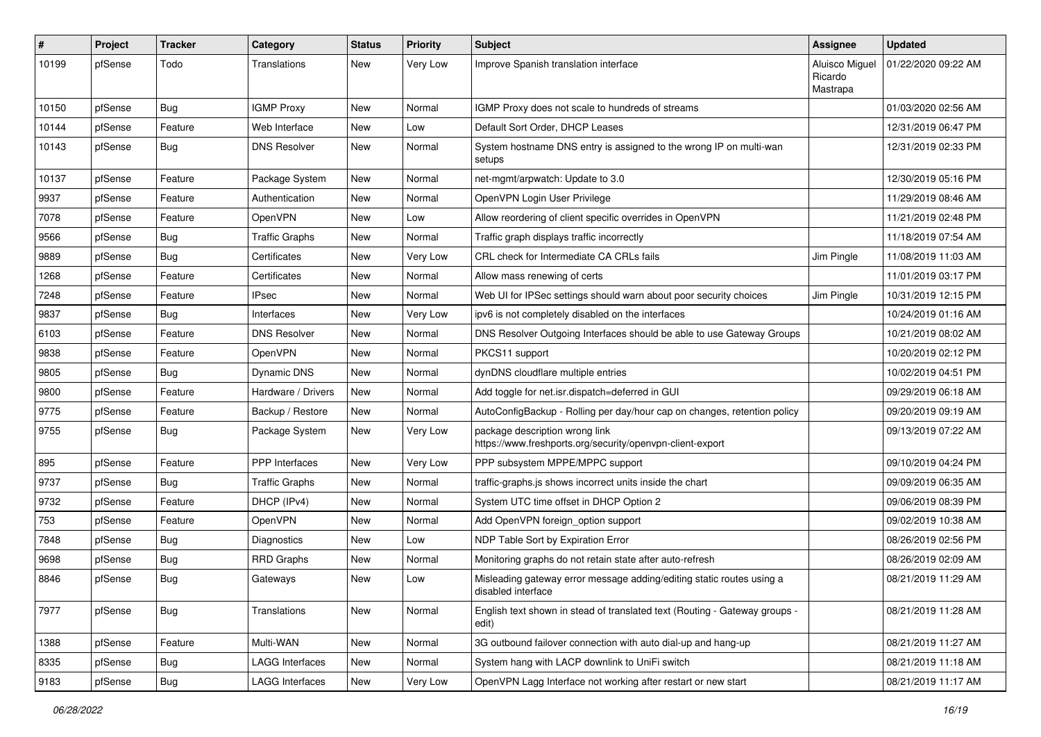| $\pmb{\#}$ | Project | <b>Tracker</b> | Category               | <b>Status</b> | <b>Priority</b> | <b>Subject</b>                                                                              | <b>Assignee</b>                              | <b>Updated</b>      |
|------------|---------|----------------|------------------------|---------------|-----------------|---------------------------------------------------------------------------------------------|----------------------------------------------|---------------------|
| 10199      | pfSense | Todo           | Translations           | <b>New</b>    | Very Low        | Improve Spanish translation interface                                                       | <b>Aluisco Miguel</b><br>Ricardo<br>Mastrapa | 01/22/2020 09:22 AM |
| 10150      | pfSense | Bug            | <b>IGMP Proxy</b>      | <b>New</b>    | Normal          | IGMP Proxy does not scale to hundreds of streams                                            |                                              | 01/03/2020 02:56 AM |
| 10144      | pfSense | Feature        | Web Interface          | <b>New</b>    | Low             | Default Sort Order, DHCP Leases                                                             |                                              | 12/31/2019 06:47 PM |
| 10143      | pfSense | Bug            | <b>DNS Resolver</b>    | New           | Normal          | System hostname DNS entry is assigned to the wrong IP on multi-wan<br>setups                |                                              | 12/31/2019 02:33 PM |
| 10137      | pfSense | Feature        | Package System         | New           | Normal          | net-mgmt/arpwatch: Update to 3.0                                                            |                                              | 12/30/2019 05:16 PM |
| 9937       | pfSense | Feature        | Authentication         | New           | Normal          | OpenVPN Login User Privilege                                                                |                                              | 11/29/2019 08:46 AM |
| 7078       | pfSense | Feature        | OpenVPN                | <b>New</b>    | Low             | Allow reordering of client specific overrides in OpenVPN                                    |                                              | 11/21/2019 02:48 PM |
| 9566       | pfSense | <b>Bug</b>     | <b>Traffic Graphs</b>  | New           | Normal          | Traffic graph displays traffic incorrectly                                                  |                                              | 11/18/2019 07:54 AM |
| 9889       | pfSense | Bug            | Certificates           | New           | Very Low        | CRL check for Intermediate CA CRLs fails                                                    | Jim Pingle                                   | 11/08/2019 11:03 AM |
| 1268       | pfSense | Feature        | Certificates           | <b>New</b>    | Normal          | Allow mass renewing of certs                                                                |                                              | 11/01/2019 03:17 PM |
| 7248       | pfSense | Feature        | <b>IPsec</b>           | New           | Normal          | Web UI for IPSec settings should warn about poor security choices                           | Jim Pingle                                   | 10/31/2019 12:15 PM |
| 9837       | pfSense | <b>Bug</b>     | Interfaces             | New           | Very Low        | ipv6 is not completely disabled on the interfaces                                           |                                              | 10/24/2019 01:16 AM |
| 6103       | pfSense | Feature        | <b>DNS Resolver</b>    | New           | Normal          | DNS Resolver Outgoing Interfaces should be able to use Gateway Groups                       |                                              | 10/21/2019 08:02 AM |
| 9838       | pfSense | Feature        | OpenVPN                | New           | Normal          | PKCS11 support                                                                              |                                              | 10/20/2019 02:12 PM |
| 9805       | pfSense | Bug            | <b>Dynamic DNS</b>     | <b>New</b>    | Normal          | dynDNS cloudflare multiple entries                                                          |                                              | 10/02/2019 04:51 PM |
| 9800       | pfSense | Feature        | Hardware / Drivers     | New           | Normal          | Add toggle for net.isr.dispatch=deferred in GUI                                             |                                              | 09/29/2019 06:18 AM |
| 9775       | pfSense | Feature        | Backup / Restore       | <b>New</b>    | Normal          | AutoConfigBackup - Rolling per day/hour cap on changes, retention policy                    |                                              | 09/20/2019 09:19 AM |
| 9755       | pfSense | Bug            | Package System         | New           | Very Low        | package description wrong link<br>https://www.freshports.org/security/openvpn-client-export |                                              | 09/13/2019 07:22 AM |
| 895        | pfSense | Feature        | PPP Interfaces         | <b>New</b>    | Very Low        | PPP subsystem MPPE/MPPC support                                                             |                                              | 09/10/2019 04:24 PM |
| 9737       | pfSense | Bug            | <b>Traffic Graphs</b>  | New           | Normal          | traffic-graphs.js shows incorrect units inside the chart                                    |                                              | 09/09/2019 06:35 AM |
| 9732       | pfSense | Feature        | DHCP (IPv4)            | New           | Normal          | System UTC time offset in DHCP Option 2                                                     |                                              | 09/06/2019 08:39 PM |
| 753        | pfSense | Feature        | OpenVPN                | New           | Normal          | Add OpenVPN foreign option support                                                          |                                              | 09/02/2019 10:38 AM |
| 7848       | pfSense | <b>Bug</b>     | Diagnostics            | New           | Low             | NDP Table Sort by Expiration Error                                                          |                                              | 08/26/2019 02:56 PM |
| 9698       | pfSense | <b>Bug</b>     | <b>RRD Graphs</b>      | New           | Normal          | Monitoring graphs do not retain state after auto-refresh                                    |                                              | 08/26/2019 02:09 AM |
| 8846       | pfSense | <b>Bug</b>     | Gateways               | New           | Low             | Misleading gateway error message adding/editing static routes using a<br>disabled interface |                                              | 08/21/2019 11:29 AM |
| 7977       | pfSense | <b>Bug</b>     | Translations           | New           | Normal          | English text shown in stead of translated text (Routing - Gateway groups -<br>edit)         |                                              | 08/21/2019 11:28 AM |
| 1388       | pfSense | Feature        | Multi-WAN              | New           | Normal          | 3G outbound failover connection with auto dial-up and hang-up                               |                                              | 08/21/2019 11:27 AM |
| 8335       | pfSense | <b>Bug</b>     | <b>LAGG Interfaces</b> | New           | Normal          | System hang with LACP downlink to UniFi switch                                              |                                              | 08/21/2019 11:18 AM |
| 9183       | pfSense | Bug            | LAGG Interfaces        | New           | Very Low        | OpenVPN Lagg Interface not working after restart or new start                               |                                              | 08/21/2019 11:17 AM |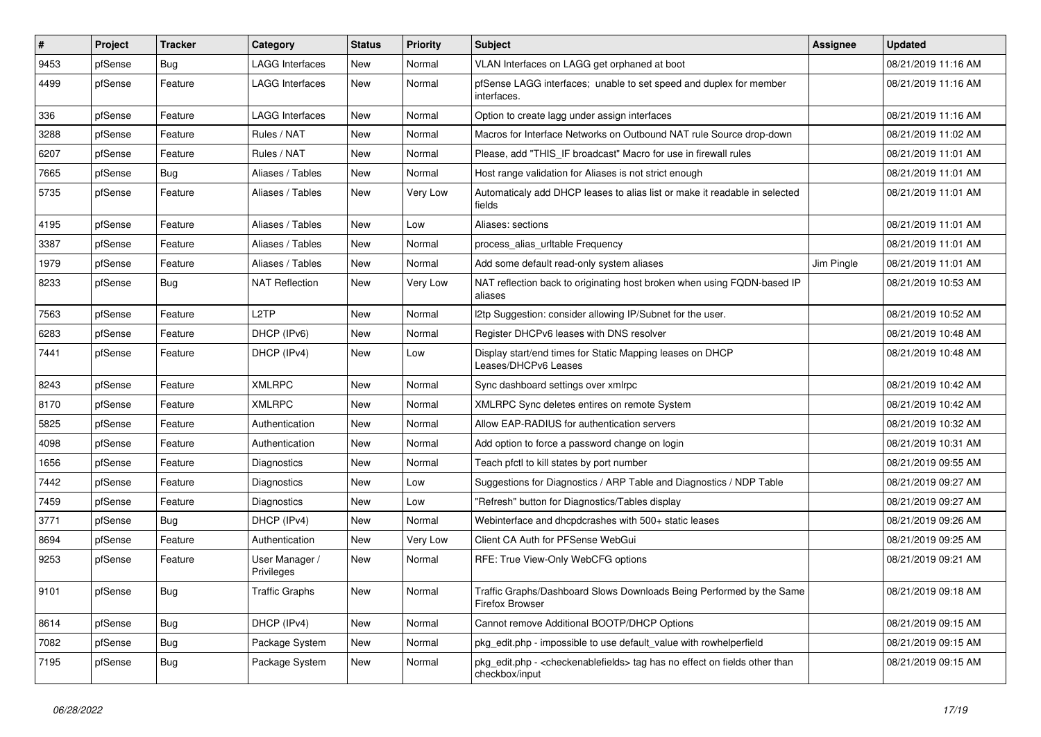| #    | Project | <b>Tracker</b> | Category                     | <b>Status</b> | <b>Priority</b> | Subject                                                                                                          | <b>Assignee</b> | <b>Updated</b>      |
|------|---------|----------------|------------------------------|---------------|-----------------|------------------------------------------------------------------------------------------------------------------|-----------------|---------------------|
| 9453 | pfSense | <b>Bug</b>     | <b>LAGG Interfaces</b>       | New           | Normal          | VLAN Interfaces on LAGG get orphaned at boot                                                                     |                 | 08/21/2019 11:16 AM |
| 4499 | pfSense | Feature        | LAGG Interfaces              | New           | Normal          | pfSense LAGG interfaces; unable to set speed and duplex for member<br>interfaces.                                |                 | 08/21/2019 11:16 AM |
| 336  | pfSense | Feature        | <b>LAGG Interfaces</b>       | <b>New</b>    | Normal          | Option to create lagg under assign interfaces                                                                    |                 | 08/21/2019 11:16 AM |
| 3288 | pfSense | Feature        | Rules / NAT                  | <b>New</b>    | Normal          | Macros for Interface Networks on Outbound NAT rule Source drop-down                                              |                 | 08/21/2019 11:02 AM |
| 6207 | pfSense | Feature        | Rules / NAT                  | New           | Normal          | Please, add "THIS_IF broadcast" Macro for use in firewall rules                                                  |                 | 08/21/2019 11:01 AM |
| 7665 | pfSense | Bug            | Aliases / Tables             | New           | Normal          | Host range validation for Aliases is not strict enough                                                           |                 | 08/21/2019 11:01 AM |
| 5735 | pfSense | Feature        | Aliases / Tables             | New           | Very Low        | Automaticaly add DHCP leases to alias list or make it readable in selected<br>fields                             |                 | 08/21/2019 11:01 AM |
| 4195 | pfSense | Feature        | Aliases / Tables             | <b>New</b>    | Low             | Aliases: sections                                                                                                |                 | 08/21/2019 11:01 AM |
| 3387 | pfSense | Feature        | Aliases / Tables             | New           | Normal          | process alias urltable Frequency                                                                                 |                 | 08/21/2019 11:01 AM |
| 1979 | pfSense | Feature        | Aliases / Tables             | New           | Normal          | Add some default read-only system aliases                                                                        | Jim Pingle      | 08/21/2019 11:01 AM |
| 8233 | pfSense | Bug            | <b>NAT Reflection</b>        | New           | Very Low        | NAT reflection back to originating host broken when using FQDN-based IP<br>aliases                               |                 | 08/21/2019 10:53 AM |
| 7563 | pfSense | Feature        | L <sub>2</sub> TP            | New           | Normal          | I2tp Suggestion: consider allowing IP/Subnet for the user.                                                       |                 | 08/21/2019 10:52 AM |
| 6283 | pfSense | Feature        | DHCP (IPv6)                  | New           | Normal          | Register DHCPv6 leases with DNS resolver                                                                         |                 | 08/21/2019 10:48 AM |
| 7441 | pfSense | Feature        | DHCP (IPv4)                  | New           | Low             | Display start/end times for Static Mapping leases on DHCP<br>Leases/DHCPv6 Leases                                |                 | 08/21/2019 10:48 AM |
| 8243 | pfSense | Feature        | <b>XMLRPC</b>                | New           | Normal          | Sync dashboard settings over xmlrpc                                                                              |                 | 08/21/2019 10:42 AM |
| 8170 | pfSense | Feature        | <b>XMLRPC</b>                | New           | Normal          | XMLRPC Sync deletes entires on remote System                                                                     |                 | 08/21/2019 10:42 AM |
| 5825 | pfSense | Feature        | Authentication               | <b>New</b>    | Normal          | Allow EAP-RADIUS for authentication servers                                                                      |                 | 08/21/2019 10:32 AM |
| 4098 | pfSense | Feature        | Authentication               | New           | Normal          | Add option to force a password change on login                                                                   |                 | 08/21/2019 10:31 AM |
| 1656 | pfSense | Feature        | <b>Diagnostics</b>           | New           | Normal          | Teach pfctl to kill states by port number                                                                        |                 | 08/21/2019 09:55 AM |
| 7442 | pfSense | Feature        | Diagnostics                  | New           | Low             | Suggestions for Diagnostics / ARP Table and Diagnostics / NDP Table                                              |                 | 08/21/2019 09:27 AM |
| 7459 | pfSense | Feature        | <b>Diagnostics</b>           | New           | Low             | "Refresh" button for Diagnostics/Tables display                                                                  |                 | 08/21/2019 09:27 AM |
| 3771 | pfSense | Bug            | DHCP (IPv4)                  | New           | Normal          | Webinterface and dhcpdcrashes with 500+ static leases                                                            |                 | 08/21/2019 09:26 AM |
| 8694 | pfSense | Feature        | Authentication               | New           | Very Low        | Client CA Auth for PFSense WebGui                                                                                |                 | 08/21/2019 09:25 AM |
| 9253 | pfSense | Feature        | User Manager /<br>Privileges | New           | Normal          | RFE: True View-Only WebCFG options                                                                               |                 | 08/21/2019 09:21 AM |
| 9101 | pfSense | Bug            | Traffic Graphs               | New           | Normal          | Traffic Graphs/Dashboard Slows Downloads Being Performed by the Same<br><b>Firefox Browser</b>                   |                 | 08/21/2019 09:18 AM |
| 8614 | pfSense | <b>Bug</b>     | DHCP (IPv4)                  | New           | Normal          | Cannot remove Additional BOOTP/DHCP Options                                                                      |                 | 08/21/2019 09:15 AM |
| 7082 | pfSense | <b>Bug</b>     | Package System               | New           | Normal          | pkg_edit.php - impossible to use default_value with rowhelperfield                                               |                 | 08/21/2019 09:15 AM |
| 7195 | pfSense | <b>Bug</b>     | Package System               | New           | Normal          | pkg edit.php - <checkenablefields> tag has no effect on fields other than<br/>checkbox/input</checkenablefields> |                 | 08/21/2019 09:15 AM |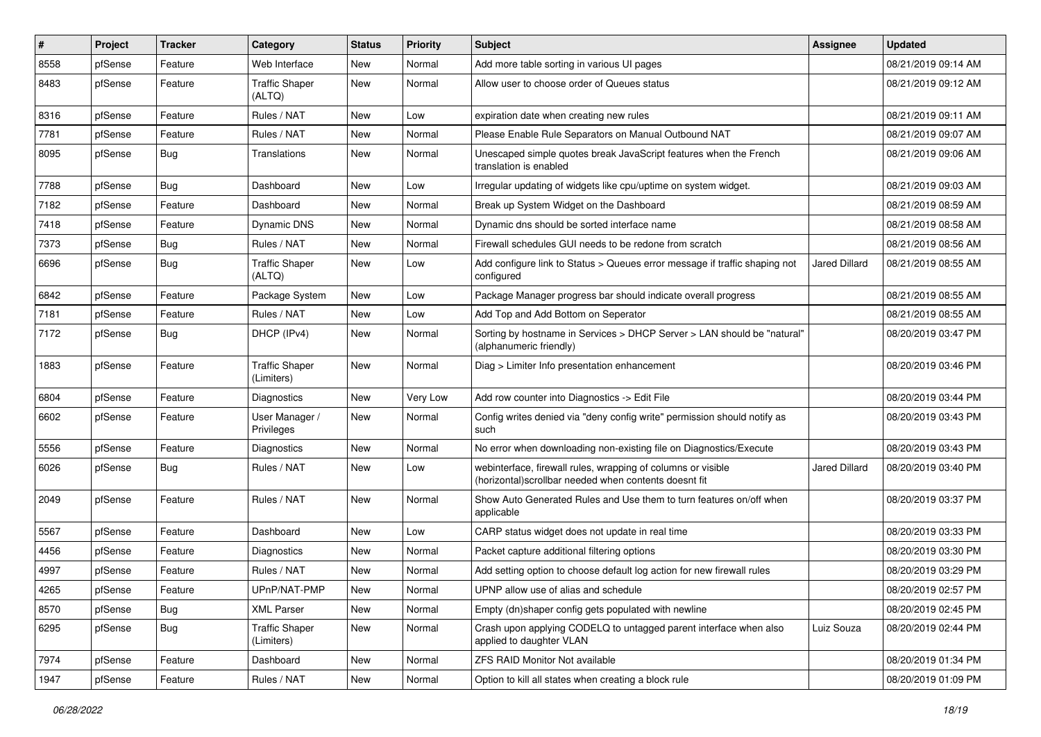| #    | Project | <b>Tracker</b> | Category                            | <b>Status</b> | <b>Priority</b> | <b>Subject</b>                                                                                                         | Assignee             | <b>Updated</b>      |
|------|---------|----------------|-------------------------------------|---------------|-----------------|------------------------------------------------------------------------------------------------------------------------|----------------------|---------------------|
| 8558 | pfSense | Feature        | Web Interface                       | New           | Normal          | Add more table sorting in various UI pages                                                                             |                      | 08/21/2019 09:14 AM |
| 8483 | pfSense | Feature        | <b>Traffic Shaper</b><br>(ALTQ)     | New           | Normal          | Allow user to choose order of Queues status                                                                            |                      | 08/21/2019 09:12 AM |
| 8316 | pfSense | Feature        | Rules / NAT                         | <b>New</b>    | Low             | expiration date when creating new rules                                                                                |                      | 08/21/2019 09:11 AM |
| 7781 | pfSense | Feature        | Rules / NAT                         | <b>New</b>    | Normal          | Please Enable Rule Separators on Manual Outbound NAT                                                                   |                      | 08/21/2019 09:07 AM |
| 8095 | pfSense | <b>Bug</b>     | Translations                        | <b>New</b>    | Normal          | Unescaped simple quotes break JavaScript features when the French<br>translation is enabled                            |                      | 08/21/2019 09:06 AM |
| 7788 | pfSense | <b>Bug</b>     | Dashboard                           | <b>New</b>    | Low             | Irregular updating of widgets like cpu/uptime on system widget.                                                        |                      | 08/21/2019 09:03 AM |
| 7182 | pfSense | Feature        | Dashboard                           | New           | Normal          | Break up System Widget on the Dashboard                                                                                |                      | 08/21/2019 08:59 AM |
| 7418 | pfSense | Feature        | Dynamic DNS                         | New           | Normal          | Dynamic dns should be sorted interface name                                                                            |                      | 08/21/2019 08:58 AM |
| 7373 | pfSense | Bug            | Rules / NAT                         | <b>New</b>    | Normal          | Firewall schedules GUI needs to be redone from scratch                                                                 |                      | 08/21/2019 08:56 AM |
| 6696 | pfSense | <b>Bug</b>     | <b>Traffic Shaper</b><br>(ALTQ)     | New           | Low             | Add configure link to Status > Queues error message if traffic shaping not<br>configured                               | Jared Dillard        | 08/21/2019 08:55 AM |
| 6842 | pfSense | Feature        | Package System                      | New           | Low             | Package Manager progress bar should indicate overall progress                                                          |                      | 08/21/2019 08:55 AM |
| 7181 | pfSense | Feature        | Rules / NAT                         | <b>New</b>    | Low             | Add Top and Add Bottom on Seperator                                                                                    |                      | 08/21/2019 08:55 AM |
| 7172 | pfSense | <b>Bug</b>     | DHCP (IPv4)                         | <b>New</b>    | Normal          | Sorting by hostname in Services > DHCP Server > LAN should be "natural"<br>(alphanumeric friendly)                     |                      | 08/20/2019 03:47 PM |
| 1883 | pfSense | Feature        | <b>Traffic Shaper</b><br>(Limiters) | <b>New</b>    | Normal          | Diag > Limiter Info presentation enhancement                                                                           |                      | 08/20/2019 03:46 PM |
| 6804 | pfSense | Feature        | Diagnostics                         | <b>New</b>    | Very Low        | Add row counter into Diagnostics -> Edit File                                                                          |                      | 08/20/2019 03:44 PM |
| 6602 | pfSense | Feature        | User Manager /<br>Privileges        | New           | Normal          | Config writes denied via "deny config write" permission should notify as<br>such                                       |                      | 08/20/2019 03:43 PM |
| 5556 | pfSense | Feature        | Diagnostics                         | <b>New</b>    | Normal          | No error when downloading non-existing file on Diagnostics/Execute                                                     |                      | 08/20/2019 03:43 PM |
| 6026 | pfSense | <b>Bug</b>     | Rules / NAT                         | <b>New</b>    | Low             | webinterface, firewall rules, wrapping of columns or visible<br>(horizontal) scrollbar needed when contents doesnt fit | <b>Jared Dillard</b> | 08/20/2019 03:40 PM |
| 2049 | pfSense | Feature        | Rules / NAT                         | New           | Normal          | Show Auto Generated Rules and Use them to turn features on/off when<br>applicable                                      |                      | 08/20/2019 03:37 PM |
| 5567 | pfSense | Feature        | Dashboard                           | <b>New</b>    | Low             | CARP status widget does not update in real time                                                                        |                      | 08/20/2019 03:33 PM |
| 4456 | pfSense | Feature        | Diagnostics                         | New           | Normal          | Packet capture additional filtering options                                                                            |                      | 08/20/2019 03:30 PM |
| 4997 | pfSense | Feature        | Rules / NAT                         | New           | Normal          | Add setting option to choose default log action for new firewall rules                                                 |                      | 08/20/2019 03:29 PM |
| 4265 | pfSense | Feature        | UPnP/NAT-PMP                        | New           | Normal          | UPNP allow use of alias and schedule                                                                                   |                      | 08/20/2019 02:57 PM |
| 8570 | pfSense | Bug            | <b>XML Parser</b>                   | New           | Normal          | Empty (dn)shaper config gets populated with newline                                                                    |                      | 08/20/2019 02:45 PM |
| 6295 | pfSense | <b>Bug</b>     | <b>Traffic Shaper</b><br>(Limiters) | New           | Normal          | Crash upon applying CODELQ to untagged parent interface when also<br>applied to daughter VLAN                          | Luiz Souza           | 08/20/2019 02:44 PM |
| 7974 | pfSense | Feature        | Dashboard                           | New           | Normal          | <b>ZFS RAID Monitor Not available</b>                                                                                  |                      | 08/20/2019 01:34 PM |
| 1947 | pfSense | Feature        | Rules / NAT                         | New           | Normal          | Option to kill all states when creating a block rule                                                                   |                      | 08/20/2019 01:09 PM |